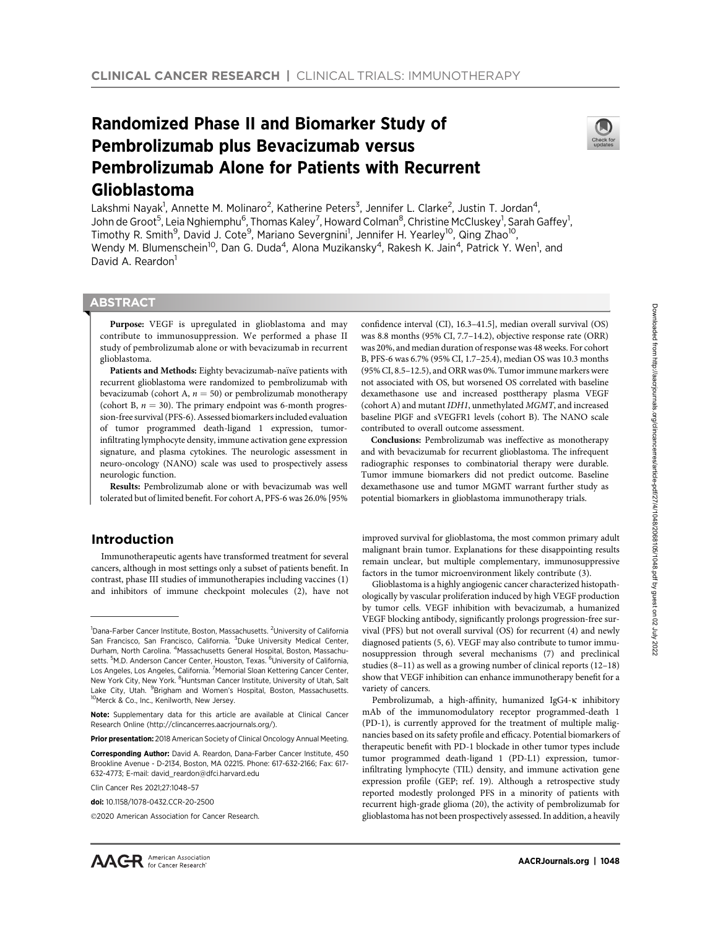# Randomized Phase II and Biomarker Study of Pembrolizumab plus Bevacizumab versus Pembrolizumab Alone for Patients with Recurrent Glioblastoma



Lakshmi Nayak<sup>1</sup>, Annette M. Molinaro<sup>2</sup>, Katherine Peters<sup>3</sup>, Jennifer L. Clarke<sup>2</sup>, Justin T. Jordan<sup>4</sup>, John de Groot<sup>5</sup>, Leia Nghiemphu<sup>6</sup>, Thomas Kaley<sup>7</sup>, Howard Colman<sup>8</sup>, Christine McCluskey<sup>1</sup>, Sarah Gaffey<sup>1</sup>, Timothy R. Smith<sup>9</sup>, David J. Cote<sup>9</sup>, Mariano Severgnini<sup>1</sup>, Jennifer H. Yearley<sup>10</sup>, Qing Zhao<sup>10</sup>, Wendy M. Blumenschein<sup>10</sup>, Dan G. Duda<sup>4</sup>, Alona Muzikansky<sup>4</sup>, Rakesh K. Jain<sup>4</sup>, Patrick Y. Wen<sup>1</sup>, and David A. Reardon<sup>1</sup>

# **ABSTRACT**

◥

Purpose: VEGF is upregulated in glioblastoma and may contribute to immunosuppression. We performed a phase II study of pembrolizumab alone or with bevacizumab in recurrent glioblastoma.

Patients and Methods: Eighty bevacizumab-naïve patients with recurrent glioblastoma were randomized to pembrolizumab with bevacizumab (cohort A,  $n = 50$ ) or pembrolizumab monotherapy (cohort B,  $n = 30$ ). The primary endpoint was 6-month progression-free survival (PFS-6). Assessed biomarkers included evaluation of tumor programmed death-ligand 1 expression, tumorinfiltrating lymphocyte density, immune activation gene expression signature, and plasma cytokines. The neurologic assessment in neuro-oncology (NANO) scale was used to prospectively assess neurologic function.

Results: Pembrolizumab alone or with bevacizumab was well tolerated but of limited benefit. For cohort A, PFS-6 was 26.0% [95%

# Introduction

Immunotherapeutic agents have transformed treatment for several cancers, although in most settings only a subset of patients benefit. In contrast, phase III studies of immunotherapies including vaccines (1) and inhibitors of immune checkpoint molecules (2), have not

Corresponding Author: David A. Reardon, Dana-Farber Cancer Institute, 450 Brookline Avenue - D-2134, Boston, MA 02215. Phone: 617-632-2166; Fax: 617- 632-4773; E-mail: david\_reardon@dfci.harvard.edu

Clin Cancer Res 2021;27:1048–57

©2020 American Association for Cancer Research.

confidence interval (CI), 16.3–41.5], median overall survival (OS) was 8.8 months (95% CI, 7.7–14.2), objective response rate (ORR) was 20%, and median duration of response was 48 weeks. For cohort B, PFS-6 was 6.7% (95% CI, 1.7–25.4), median OS was 10.3 months (95% CI, 8.5–12.5), and ORR was 0%. Tumor immune markers were not associated with OS, but worsened OS correlated with baseline dexamethasone use and increased posttherapy plasma VEGF (cohort A) and mutant IDH1, unmethylated MGMT, and increased baseline PlGF and sVEGFR1 levels (cohort B). The NANO scale contributed to overall outcome assessment.

Conclusions: Pembrolizumab was ineffective as monotherapy and with bevacizumab for recurrent glioblastoma. The infrequent radiographic responses to combinatorial therapy were durable. Tumor immune biomarkers did not predict outcome. Baseline dexamethasone use and tumor MGMT warrant further study as potential biomarkers in glioblastoma immunotherapy trials.

improved survival for glioblastoma, the most common primary adult malignant brain tumor. Explanations for these disappointing results remain unclear, but multiple complementary, immunosuppressive factors in the tumor microenvironment likely contribute (3).

Glioblastoma is a highly angiogenic cancer characterized histopathologically by vascular proliferation induced by high VEGF production by tumor cells. VEGF inhibition with bevacizumab, a humanized VEGF blocking antibody, significantly prolongs progression-free survival (PFS) but not overall survival (OS) for recurrent (4) and newly diagnosed patients (5, 6). VEGF may also contribute to tumor immunosuppression through several mechanisms (7) and preclinical studies (8–11) as well as a growing number of clinical reports (12–18) show that VEGF inhibition can enhance immunotherapy benefit for a variety of cancers.

Pembrolizumab, a high-affinity, humanized IgG4-K inhibitory mAb of the immunomodulatory receptor programmed-death 1 (PD-1), is currently approved for the treatment of multiple malignancies based on its safety profile and efficacy. Potential biomarkers of therapeutic benefit with PD-1 blockade in other tumor types include tumor programmed death-ligand 1 (PD-L1) expression, tumorinfiltrating lymphocyte (TIL) density, and immune activation gene expression profile (GEP; ref. 19). Although a retrospective study reported modestly prolonged PFS in a minority of patients with recurrent high-grade glioma (20), the activity of pembrolizumab for glioblastoma has not been prospectively assessed. In addition, a heavily

<sup>&</sup>lt;sup>1</sup>Dana-Farber Cancer Institute, Boston, Massachusetts. <sup>2</sup>University of California San Francisco, San Francisco, California. <sup>3</sup>Duke University Medical Center, Durham, North Carolina. <sup>4</sup>Massachusetts General Hospital, Boston, Massachusetts. <sup>5</sup>M.D. Anderson Cancer Center, Houston, Texas. <sup>6</sup>University of California, Los Angeles, Los Angeles, California. <sup>7</sup> Memorial Sloan Kettering Cancer Center, New York City, New York. <sup>8</sup>Huntsman Cancer Institute, University of Utah, Salt Lake City, Utah. <sup>9</sup>Brigham and Women's Hospital, Boston, Massachusetts. <sup>10</sup>Merck & Co., Inc., Kenilworth, New Jersey.

Note: Supplementary data for this article are available at Clinical Cancer Research Online (http://clincancerres.aacrjournals.org/).

Prior presentation: 2018 American Society of Clinical Oncology Annual Meeting.

doi: 10.1158/1078-0432.CCR-20-2500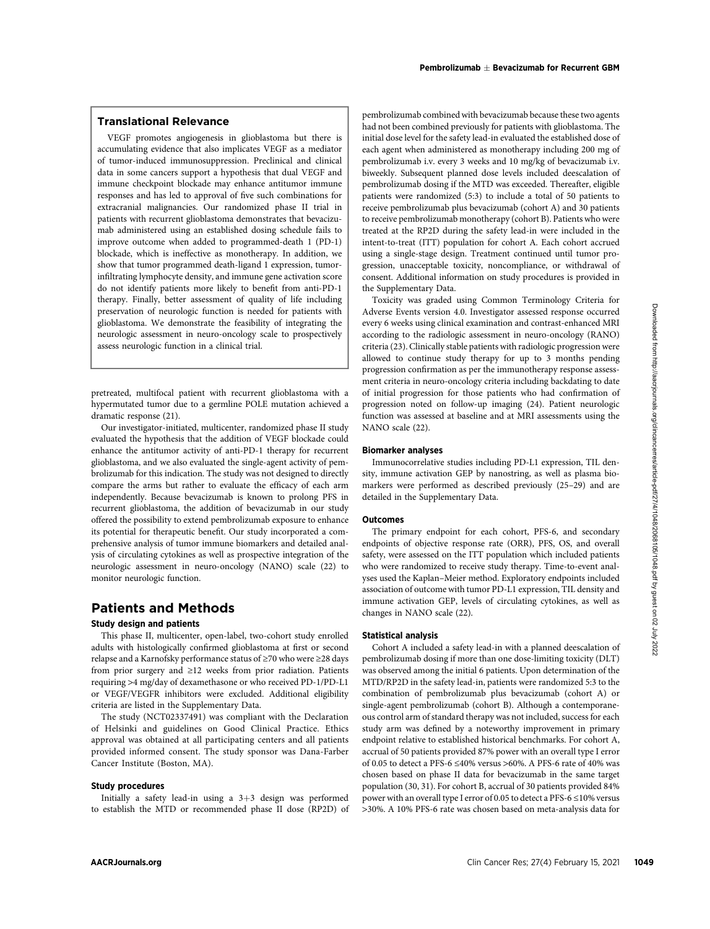# Translational Relevance

VEGF promotes angiogenesis in glioblastoma but there is accumulating evidence that also implicates VEGF as a mediator of tumor-induced immunosuppression. Preclinical and clinical data in some cancers support a hypothesis that dual VEGF and immune checkpoint blockade may enhance antitumor immune responses and has led to approval of five such combinations for extracranial malignancies. Our randomized phase II trial in patients with recurrent glioblastoma demonstrates that bevacizumab administered using an established dosing schedule fails to improve outcome when added to programmed-death 1 (PD-1) blockade, which is ineffective as monotherapy. In addition, we show that tumor programmed death-ligand 1 expression, tumorinfiltrating lymphocyte density, and immune gene activation score do not identify patients more likely to benefit from anti-PD-1 therapy. Finally, better assessment of quality of life including preservation of neurologic function is needed for patients with glioblastoma. We demonstrate the feasibility of integrating the neurologic assessment in neuro-oncology scale to prospectively assess neurologic function in a clinical trial.

pretreated, multifocal patient with recurrent glioblastoma with a hypermutated tumor due to a germline POLE mutation achieved a dramatic response (21).

Our investigator-initiated, multicenter, randomized phase II study evaluated the hypothesis that the addition of VEGF blockade could enhance the antitumor activity of anti-PD-1 therapy for recurrent glioblastoma, and we also evaluated the single-agent activity of pembrolizumab for this indication. The study was not designed to directly compare the arms but rather to evaluate the efficacy of each arm independently. Because bevacizumab is known to prolong PFS in recurrent glioblastoma, the addition of bevacizumab in our study offered the possibility to extend pembrolizumab exposure to enhance its potential for therapeutic benefit. Our study incorporated a comprehensive analysis of tumor immune biomarkers and detailed analysis of circulating cytokines as well as prospective integration of the neurologic assessment in neuro-oncology (NANO) scale (22) to monitor neurologic function.

# Patients and Methods

## Study design and patients

This phase II, multicenter, open-label, two-cohort study enrolled adults with histologically confirmed glioblastoma at first or second relapse and a Karnofsky performance status of ≥70 who were ≥28 days from prior surgery and ≥12 weeks from prior radiation. Patients requiring >4 mg/day of dexamethasone or who received PD-1/PD-L1 or VEGF/VEGFR inhibitors were excluded. Additional eligibility criteria are listed in the Supplementary Data.

The study (NCT02337491) was compliant with the Declaration of Helsinki and guidelines on Good Clinical Practice. Ethics approval was obtained at all participating centers and all patients provided informed consent. The study sponsor was Dana-Farber Cancer Institute (Boston, MA).

#### Study procedures

Initially a safety lead-in using a  $3+3$  design was performed to establish the MTD or recommended phase II dose (RP2D) of pembrolizumab combined with bevacizumab because these two agents had not been combined previously for patients with glioblastoma. The initial dose level for the safety lead-in evaluated the established dose of each agent when administered as monotherapy including 200 mg of pembrolizumab i.v. every 3 weeks and 10 mg/kg of bevacizumab i.v. biweekly. Subsequent planned dose levels included deescalation of pembrolizumab dosing if the MTD was exceeded. Thereafter, eligible patients were randomized (5:3) to include a total of 50 patients to receive pembrolizumab plus bevacizumab (cohort A) and 30 patients to receive pembrolizumab monotherapy (cohort B). Patients who were treated at the RP2D during the safety lead-in were included in the intent-to-treat (ITT) population for cohort A. Each cohort accrued using a single-stage design. Treatment continued until tumor progression, unacceptable toxicity, noncompliance, or withdrawal of consent. Additional information on study procedures is provided in the Supplementary Data.

Toxicity was graded using Common Terminology Criteria for Adverse Events version 4.0. Investigator assessed response occurred every 6 weeks using clinical examination and contrast-enhanced MRI according to the radiologic assessment in neuro-oncology (RANO) criteria (23). Clinically stable patients with radiologic progression were allowed to continue study therapy for up to 3 months pending progression confirmation as per the immunotherapy response assessment criteria in neuro-oncology criteria including backdating to date of initial progression for those patients who had confirmation of progression noted on follow-up imaging (24). Patient neurologic function was assessed at baseline and at MRI assessments using the NANO scale (22).

## Biomarker analyses

Immunocorrelative studies including PD-L1 expression, TIL density, immune activation GEP by nanostring, as well as plasma biomarkers were performed as described previously (25–29) and are detailed in the Supplementary Data.

### **Outcomes**

The primary endpoint for each cohort, PFS-6, and secondary endpoints of objective response rate (ORR), PFS, OS, and overall safety, were assessed on the ITT population which included patients who were randomized to receive study therapy. Time-to-event analyses used the Kaplan–Meier method. Exploratory endpoints included association of outcome with tumor PD-L1 expression, TIL density and immune activation GEP, levels of circulating cytokines, as well as changes in NANO scale (22).

## Statistical analysis

Cohort A included a safety lead-in with a planned deescalation of pembrolizumab dosing if more than one dose-limiting toxicity (DLT) was observed among the initial 6 patients. Upon determination of the MTD/RP2D in the safety lead-in, patients were randomized 5:3 to the combination of pembrolizumab plus bevacizumab (cohort A) or single-agent pembrolizumab (cohort B). Although a contemporaneous control arm of standard therapy was not included, success for each study arm was defined by a noteworthy improvement in primary endpoint relative to established historical benchmarks. For cohort A, accrual of 50 patients provided 87% power with an overall type I error of 0.05 to detect a PFS-6 ≤40% versus >60%. A PFS-6 rate of 40% was chosen based on phase II data for bevacizumab in the same target population (30, 31). For cohort B, accrual of 30 patients provided 84% power with an overall type I error of 0.05 to detect a PFS-6 ≤10% versus >30%. A 10% PFS-6 rate was chosen based on meta-analysis data for **Pressure of a network is in education of a state in the state of a state in the state of a state of a state of a state of a state of a state of a state of a state of a state of a state of a state of a state of a state o**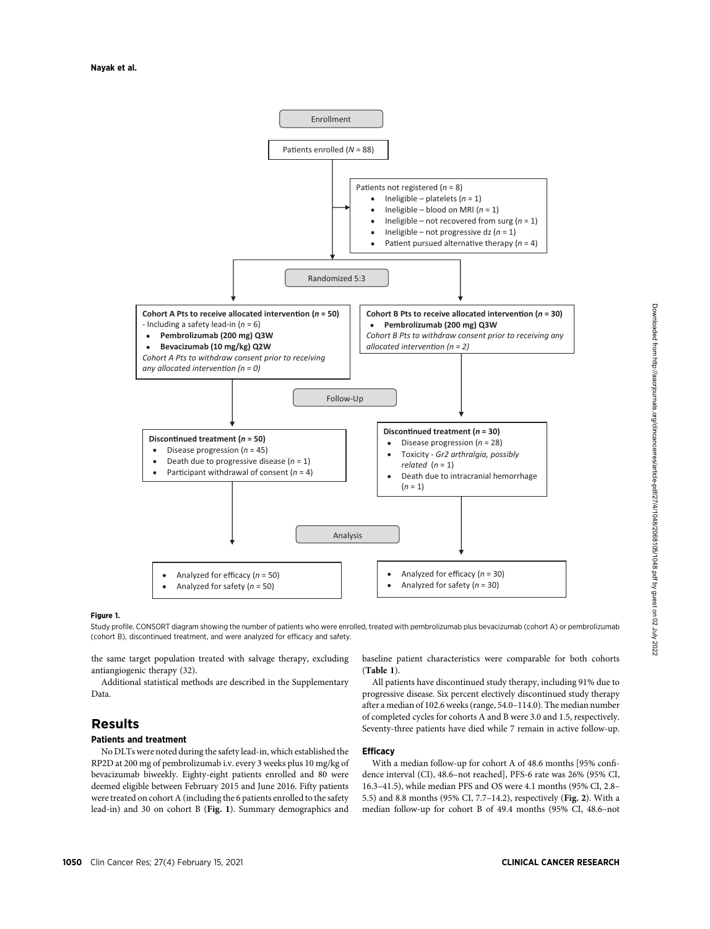

#### Figure 1.

Study profile. CONSORT diagram showing the number of patients who were enrolled, treated with pembrolizumab plus bevacizumab (cohort A) or pembrolizumab (cohort B), discontinued treatment, and were analyzed for efficacy and safety.

the same target population treated with salvage therapy, excluding antiangiogenic therapy (32).

Additional statistical methods are described in the Supplementary Data.

# Results

## Patients and treatment

No DLTs were noted during the safety lead-in, which established the RP2D at 200 mg of pembrolizumab i.v. every 3 weeks plus 10 mg/kg of bevacizumab biweekly. Eighty-eight patients enrolled and 80 were deemed eligible between February 2015 and June 2016. Fifty patients were treated on cohort A (including the 6 patients enrolled to the safety lead-in) and 30 on cohort B (Fig. 1). Summary demographics and baseline patient characteristics were comparable for both cohorts (Table 1).

All patients have discontinued study therapy, including 91% due to progressive disease. Six percent electively discontinued study therapy after a median of 102.6 weeks (range, 54.0–114.0). The median number of completed cycles for cohorts A and B were 3.0 and 1.5, respectively. Seventy-three patients have died while 7 remain in active follow-up.

## **Efficacy**

With a median follow-up for cohort A of 48.6 months [95% confidence interval (CI), 48.6–not reached], PFS-6 rate was 26% (95% CI, 16.3–41.5), while median PFS and OS were 4.1 months (95% CI, 2.8– 5.5) and 8.8 months (95% CI, 7.7–14.2), respectively (Fig. 2). With a median follow-up for cohort B of 49.4 months (95% CI, 48.6–not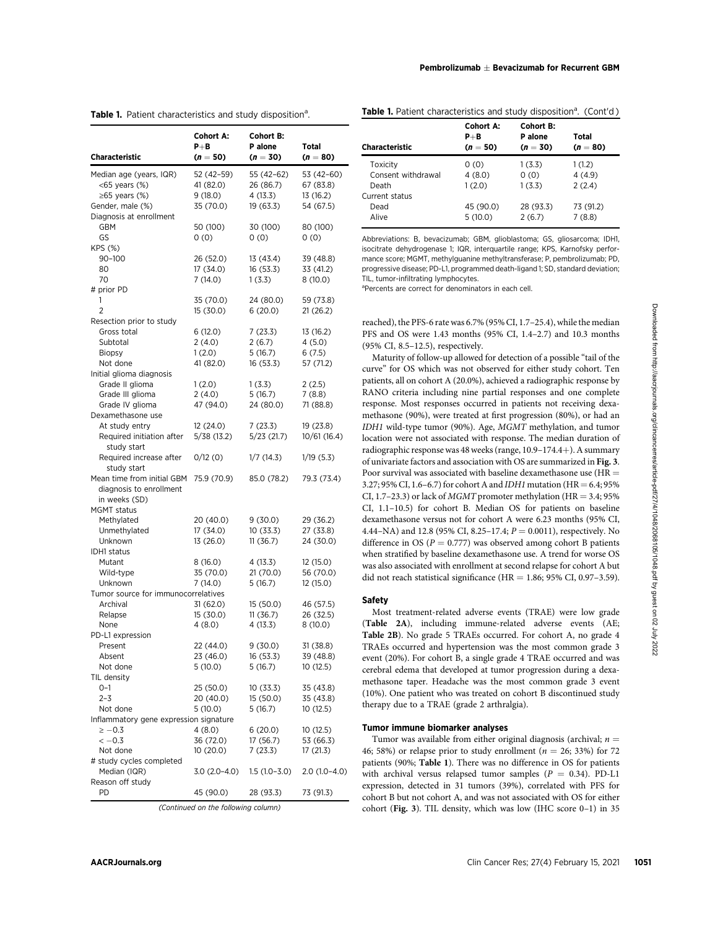| 52 (42-59)<br>55 (42-62)<br>53 (42-60)<br>Median age (years, IQR)<br>41 (82.0)<br>26 (86.7)<br>67 (83.8)<br><65 years (%)<br>$\geq 65$ years (%)<br>9(18.0)<br>4(13.3)<br>13 (16.2)<br>Gender, male (%)<br>35 (70.0)<br>19 (63.3)<br>54 (67.5)<br>Diagnosis at enrollment<br>GBM<br>50 (100)<br>30 (100)<br>80 (100)<br>GS<br>0(0)<br>0(0)<br>0(0)<br>KPS (%)<br>26 (52.0)<br>13 (43.4)<br>39 (48.8)<br>$90 - 100$<br>17 (34.0)<br>16 (53.3)<br>33 (41.2)<br>80<br>70<br>7(14.0)<br>1(3.3)<br>8(10.0)<br># prior PD<br>1<br>35 (70.0)<br>24 (80.0)<br>59 (73.8)<br>2<br>15 (30.0)<br>6(20.0)<br>21 (26.2)<br>Resection prior to study<br>6(12.0)<br>7(23.3)<br>13 (16.2)<br>Gross total<br>2(4.0)<br>2(6.7)<br>4(5.0)<br>Subtotal<br>1(2.0)<br>5(16.7)<br>6(7.5)<br><b>Biopsy</b><br>Not done<br>41 (82.0)<br>16 (53.3)<br>57 (71.2)<br>Initial glioma diagnosis<br>Grade II glioma<br>2(2.5)<br>1(2.0)<br>1(3.3)<br>2(4.0)<br>5(16.7)<br>7(8.8)<br>Grade III glioma<br>Grade IV glioma<br>47 (94.0)<br>24 (80.0)<br>71 (88.8)<br>Dexamethasone use<br>12 (24.0)<br>7(23.3)<br>19 (23.8)<br>At study entry<br>Required initiation after<br>5/38 (13.2)<br>5/23(21.7)<br>10/61(16.4)<br>study start<br>Required increase after<br>0/12(0)<br>1/7(14.3)<br>1/19(5.3)<br>study start<br>Mean time from initial GBM<br>75.9 (70.9)<br>85.0 (78.2)<br>79.3 (73.4)<br>diagnosis to enrollment<br>in weeks (SD)<br><b>MGMT</b> status<br>Methylated<br>20 (40.0)<br>9(30.0)<br>29 (36.2)<br>17 (34.0)<br>10 (33.3)<br>27 (33.8)<br>Unmethylated<br>13 (26.0)<br>11(36.7)<br>24 (30.0)<br>Unknown<br><b>IDH1</b> status<br>Mutant<br>8(16.0)<br>4 (13.3)<br>12 (15.0)<br>35 (70.0)<br>21 (70.0)<br>56 (70.0)<br>Wild-type<br>7(14.0)<br>5(16.7)<br>12 (15.0)<br>Unknown<br>Tumor source for immunocorrelatives<br>31 (62.0)<br>46 (57.5)<br>Archival<br>15(50.0)<br>15 (30.0)<br>11(36.7)<br>Relapse<br>26 (32.5)<br>None<br>4(8.0)<br>4 (13.3)<br>8 (10.0)<br>PD-L1 expression<br>Present<br>22 (44.0)<br>9(30.0)<br>31 (38.8)<br>Absent<br>23 (46.0)<br>16 (53.3)<br>39 (48.8)<br>Not done<br>5(10.0)<br>5(16.7)<br>10(12.5)<br>TIL density<br>$0 - 1$<br>25 (50.0)<br>10(33.3)<br>35 (43.8)<br>$2 - 3$<br>20 (40.0)<br>15 (50.0)<br>35 (43.8)<br>5(10.0)<br>Not done<br>5(16.7)<br>10(12.5)<br>Inflammatory gene expression signature<br>$\ge -0.3$<br>4(8.0)<br>6(20.0)<br>10 (12.5)<br>$<-0.3$<br>36 (72.0)<br>17 (56.7)<br>53 (66.3)<br>Not done<br>10(20.0)<br>7(23.3)<br>17 (21.3)<br># study cycles completed<br>Median (IQR)<br>$3.0(2.0-4.0)$<br>$1.5(1.0-3.0)$<br>Reason off study<br>PD<br>45 (90.0)<br>28 (93.3)<br>73 (91.3) | <b>Characteristic</b> | <b>Cohort A:</b><br>P+B<br>$(n = 50)$ | <b>Cohort B:</b><br>P alone<br>$(n = 30)$ | Total<br>$(n = 80)$ |
|-------------------------------------------------------------------------------------------------------------------------------------------------------------------------------------------------------------------------------------------------------------------------------------------------------------------------------------------------------------------------------------------------------------------------------------------------------------------------------------------------------------------------------------------------------------------------------------------------------------------------------------------------------------------------------------------------------------------------------------------------------------------------------------------------------------------------------------------------------------------------------------------------------------------------------------------------------------------------------------------------------------------------------------------------------------------------------------------------------------------------------------------------------------------------------------------------------------------------------------------------------------------------------------------------------------------------------------------------------------------------------------------------------------------------------------------------------------------------------------------------------------------------------------------------------------------------------------------------------------------------------------------------------------------------------------------------------------------------------------------------------------------------------------------------------------------------------------------------------------------------------------------------------------------------------------------------------------------------------------------------------------------------------------------------------------------------------------------------------------------------------------------------------------------------------------------------------------------------------------------------------------------------------------------------------------------------------------------------------------------------------------------------------------------------------------------------------------------------------------------------------------------------------------------------------------------------------------------------------------------------------------|-----------------------|---------------------------------------|-------------------------------------------|---------------------|
|                                                                                                                                                                                                                                                                                                                                                                                                                                                                                                                                                                                                                                                                                                                                                                                                                                                                                                                                                                                                                                                                                                                                                                                                                                                                                                                                                                                                                                                                                                                                                                                                                                                                                                                                                                                                                                                                                                                                                                                                                                                                                                                                                                                                                                                                                                                                                                                                                                                                                                                                                                                                                                     |                       |                                       |                                           |                     |
|                                                                                                                                                                                                                                                                                                                                                                                                                                                                                                                                                                                                                                                                                                                                                                                                                                                                                                                                                                                                                                                                                                                                                                                                                                                                                                                                                                                                                                                                                                                                                                                                                                                                                                                                                                                                                                                                                                                                                                                                                                                                                                                                                                                                                                                                                                                                                                                                                                                                                                                                                                                                                                     |                       |                                       |                                           |                     |
|                                                                                                                                                                                                                                                                                                                                                                                                                                                                                                                                                                                                                                                                                                                                                                                                                                                                                                                                                                                                                                                                                                                                                                                                                                                                                                                                                                                                                                                                                                                                                                                                                                                                                                                                                                                                                                                                                                                                                                                                                                                                                                                                                                                                                                                                                                                                                                                                                                                                                                                                                                                                                                     |                       |                                       |                                           |                     |
|                                                                                                                                                                                                                                                                                                                                                                                                                                                                                                                                                                                                                                                                                                                                                                                                                                                                                                                                                                                                                                                                                                                                                                                                                                                                                                                                                                                                                                                                                                                                                                                                                                                                                                                                                                                                                                                                                                                                                                                                                                                                                                                                                                                                                                                                                                                                                                                                                                                                                                                                                                                                                                     |                       |                                       |                                           |                     |
|                                                                                                                                                                                                                                                                                                                                                                                                                                                                                                                                                                                                                                                                                                                                                                                                                                                                                                                                                                                                                                                                                                                                                                                                                                                                                                                                                                                                                                                                                                                                                                                                                                                                                                                                                                                                                                                                                                                                                                                                                                                                                                                                                                                                                                                                                                                                                                                                                                                                                                                                                                                                                                     |                       |                                       |                                           |                     |
|                                                                                                                                                                                                                                                                                                                                                                                                                                                                                                                                                                                                                                                                                                                                                                                                                                                                                                                                                                                                                                                                                                                                                                                                                                                                                                                                                                                                                                                                                                                                                                                                                                                                                                                                                                                                                                                                                                                                                                                                                                                                                                                                                                                                                                                                                                                                                                                                                                                                                                                                                                                                                                     |                       |                                       |                                           |                     |
|                                                                                                                                                                                                                                                                                                                                                                                                                                                                                                                                                                                                                                                                                                                                                                                                                                                                                                                                                                                                                                                                                                                                                                                                                                                                                                                                                                                                                                                                                                                                                                                                                                                                                                                                                                                                                                                                                                                                                                                                                                                                                                                                                                                                                                                                                                                                                                                                                                                                                                                                                                                                                                     |                       |                                       |                                           |                     |
|                                                                                                                                                                                                                                                                                                                                                                                                                                                                                                                                                                                                                                                                                                                                                                                                                                                                                                                                                                                                                                                                                                                                                                                                                                                                                                                                                                                                                                                                                                                                                                                                                                                                                                                                                                                                                                                                                                                                                                                                                                                                                                                                                                                                                                                                                                                                                                                                                                                                                                                                                                                                                                     |                       |                                       |                                           |                     |
|                                                                                                                                                                                                                                                                                                                                                                                                                                                                                                                                                                                                                                                                                                                                                                                                                                                                                                                                                                                                                                                                                                                                                                                                                                                                                                                                                                                                                                                                                                                                                                                                                                                                                                                                                                                                                                                                                                                                                                                                                                                                                                                                                                                                                                                                                                                                                                                                                                                                                                                                                                                                                                     |                       |                                       |                                           |                     |
|                                                                                                                                                                                                                                                                                                                                                                                                                                                                                                                                                                                                                                                                                                                                                                                                                                                                                                                                                                                                                                                                                                                                                                                                                                                                                                                                                                                                                                                                                                                                                                                                                                                                                                                                                                                                                                                                                                                                                                                                                                                                                                                                                                                                                                                                                                                                                                                                                                                                                                                                                                                                                                     |                       |                                       |                                           |                     |
|                                                                                                                                                                                                                                                                                                                                                                                                                                                                                                                                                                                                                                                                                                                                                                                                                                                                                                                                                                                                                                                                                                                                                                                                                                                                                                                                                                                                                                                                                                                                                                                                                                                                                                                                                                                                                                                                                                                                                                                                                                                                                                                                                                                                                                                                                                                                                                                                                                                                                                                                                                                                                                     |                       |                                       |                                           |                     |
|                                                                                                                                                                                                                                                                                                                                                                                                                                                                                                                                                                                                                                                                                                                                                                                                                                                                                                                                                                                                                                                                                                                                                                                                                                                                                                                                                                                                                                                                                                                                                                                                                                                                                                                                                                                                                                                                                                                                                                                                                                                                                                                                                                                                                                                                                                                                                                                                                                                                                                                                                                                                                                     |                       |                                       |                                           |                     |
|                                                                                                                                                                                                                                                                                                                                                                                                                                                                                                                                                                                                                                                                                                                                                                                                                                                                                                                                                                                                                                                                                                                                                                                                                                                                                                                                                                                                                                                                                                                                                                                                                                                                                                                                                                                                                                                                                                                                                                                                                                                                                                                                                                                                                                                                                                                                                                                                                                                                                                                                                                                                                                     |                       |                                       |                                           |                     |
|                                                                                                                                                                                                                                                                                                                                                                                                                                                                                                                                                                                                                                                                                                                                                                                                                                                                                                                                                                                                                                                                                                                                                                                                                                                                                                                                                                                                                                                                                                                                                                                                                                                                                                                                                                                                                                                                                                                                                                                                                                                                                                                                                                                                                                                                                                                                                                                                                                                                                                                                                                                                                                     |                       |                                       |                                           |                     |
|                                                                                                                                                                                                                                                                                                                                                                                                                                                                                                                                                                                                                                                                                                                                                                                                                                                                                                                                                                                                                                                                                                                                                                                                                                                                                                                                                                                                                                                                                                                                                                                                                                                                                                                                                                                                                                                                                                                                                                                                                                                                                                                                                                                                                                                                                                                                                                                                                                                                                                                                                                                                                                     |                       |                                       |                                           |                     |
|                                                                                                                                                                                                                                                                                                                                                                                                                                                                                                                                                                                                                                                                                                                                                                                                                                                                                                                                                                                                                                                                                                                                                                                                                                                                                                                                                                                                                                                                                                                                                                                                                                                                                                                                                                                                                                                                                                                                                                                                                                                                                                                                                                                                                                                                                                                                                                                                                                                                                                                                                                                                                                     |                       |                                       |                                           |                     |
|                                                                                                                                                                                                                                                                                                                                                                                                                                                                                                                                                                                                                                                                                                                                                                                                                                                                                                                                                                                                                                                                                                                                                                                                                                                                                                                                                                                                                                                                                                                                                                                                                                                                                                                                                                                                                                                                                                                                                                                                                                                                                                                                                                                                                                                                                                                                                                                                                                                                                                                                                                                                                                     |                       |                                       |                                           |                     |
|                                                                                                                                                                                                                                                                                                                                                                                                                                                                                                                                                                                                                                                                                                                                                                                                                                                                                                                                                                                                                                                                                                                                                                                                                                                                                                                                                                                                                                                                                                                                                                                                                                                                                                                                                                                                                                                                                                                                                                                                                                                                                                                                                                                                                                                                                                                                                                                                                                                                                                                                                                                                                                     |                       |                                       |                                           |                     |
|                                                                                                                                                                                                                                                                                                                                                                                                                                                                                                                                                                                                                                                                                                                                                                                                                                                                                                                                                                                                                                                                                                                                                                                                                                                                                                                                                                                                                                                                                                                                                                                                                                                                                                                                                                                                                                                                                                                                                                                                                                                                                                                                                                                                                                                                                                                                                                                                                                                                                                                                                                                                                                     |                       |                                       |                                           |                     |
|                                                                                                                                                                                                                                                                                                                                                                                                                                                                                                                                                                                                                                                                                                                                                                                                                                                                                                                                                                                                                                                                                                                                                                                                                                                                                                                                                                                                                                                                                                                                                                                                                                                                                                                                                                                                                                                                                                                                                                                                                                                                                                                                                                                                                                                                                                                                                                                                                                                                                                                                                                                                                                     |                       |                                       |                                           |                     |
|                                                                                                                                                                                                                                                                                                                                                                                                                                                                                                                                                                                                                                                                                                                                                                                                                                                                                                                                                                                                                                                                                                                                                                                                                                                                                                                                                                                                                                                                                                                                                                                                                                                                                                                                                                                                                                                                                                                                                                                                                                                                                                                                                                                                                                                                                                                                                                                                                                                                                                                                                                                                                                     |                       |                                       |                                           |                     |
|                                                                                                                                                                                                                                                                                                                                                                                                                                                                                                                                                                                                                                                                                                                                                                                                                                                                                                                                                                                                                                                                                                                                                                                                                                                                                                                                                                                                                                                                                                                                                                                                                                                                                                                                                                                                                                                                                                                                                                                                                                                                                                                                                                                                                                                                                                                                                                                                                                                                                                                                                                                                                                     |                       |                                       |                                           |                     |
|                                                                                                                                                                                                                                                                                                                                                                                                                                                                                                                                                                                                                                                                                                                                                                                                                                                                                                                                                                                                                                                                                                                                                                                                                                                                                                                                                                                                                                                                                                                                                                                                                                                                                                                                                                                                                                                                                                                                                                                                                                                                                                                                                                                                                                                                                                                                                                                                                                                                                                                                                                                                                                     |                       |                                       |                                           |                     |
|                                                                                                                                                                                                                                                                                                                                                                                                                                                                                                                                                                                                                                                                                                                                                                                                                                                                                                                                                                                                                                                                                                                                                                                                                                                                                                                                                                                                                                                                                                                                                                                                                                                                                                                                                                                                                                                                                                                                                                                                                                                                                                                                                                                                                                                                                                                                                                                                                                                                                                                                                                                                                                     |                       |                                       |                                           |                     |
|                                                                                                                                                                                                                                                                                                                                                                                                                                                                                                                                                                                                                                                                                                                                                                                                                                                                                                                                                                                                                                                                                                                                                                                                                                                                                                                                                                                                                                                                                                                                                                                                                                                                                                                                                                                                                                                                                                                                                                                                                                                                                                                                                                                                                                                                                                                                                                                                                                                                                                                                                                                                                                     |                       |                                       |                                           |                     |
|                                                                                                                                                                                                                                                                                                                                                                                                                                                                                                                                                                                                                                                                                                                                                                                                                                                                                                                                                                                                                                                                                                                                                                                                                                                                                                                                                                                                                                                                                                                                                                                                                                                                                                                                                                                                                                                                                                                                                                                                                                                                                                                                                                                                                                                                                                                                                                                                                                                                                                                                                                                                                                     |                       |                                       |                                           |                     |
|                                                                                                                                                                                                                                                                                                                                                                                                                                                                                                                                                                                                                                                                                                                                                                                                                                                                                                                                                                                                                                                                                                                                                                                                                                                                                                                                                                                                                                                                                                                                                                                                                                                                                                                                                                                                                                                                                                                                                                                                                                                                                                                                                                                                                                                                                                                                                                                                                                                                                                                                                                                                                                     |                       |                                       |                                           |                     |
|                                                                                                                                                                                                                                                                                                                                                                                                                                                                                                                                                                                                                                                                                                                                                                                                                                                                                                                                                                                                                                                                                                                                                                                                                                                                                                                                                                                                                                                                                                                                                                                                                                                                                                                                                                                                                                                                                                                                                                                                                                                                                                                                                                                                                                                                                                                                                                                                                                                                                                                                                                                                                                     |                       |                                       |                                           |                     |
|                                                                                                                                                                                                                                                                                                                                                                                                                                                                                                                                                                                                                                                                                                                                                                                                                                                                                                                                                                                                                                                                                                                                                                                                                                                                                                                                                                                                                                                                                                                                                                                                                                                                                                                                                                                                                                                                                                                                                                                                                                                                                                                                                                                                                                                                                                                                                                                                                                                                                                                                                                                                                                     |                       |                                       |                                           |                     |
|                                                                                                                                                                                                                                                                                                                                                                                                                                                                                                                                                                                                                                                                                                                                                                                                                                                                                                                                                                                                                                                                                                                                                                                                                                                                                                                                                                                                                                                                                                                                                                                                                                                                                                                                                                                                                                                                                                                                                                                                                                                                                                                                                                                                                                                                                                                                                                                                                                                                                                                                                                                                                                     |                       |                                       |                                           |                     |
|                                                                                                                                                                                                                                                                                                                                                                                                                                                                                                                                                                                                                                                                                                                                                                                                                                                                                                                                                                                                                                                                                                                                                                                                                                                                                                                                                                                                                                                                                                                                                                                                                                                                                                                                                                                                                                                                                                                                                                                                                                                                                                                                                                                                                                                                                                                                                                                                                                                                                                                                                                                                                                     |                       |                                       |                                           |                     |
|                                                                                                                                                                                                                                                                                                                                                                                                                                                                                                                                                                                                                                                                                                                                                                                                                                                                                                                                                                                                                                                                                                                                                                                                                                                                                                                                                                                                                                                                                                                                                                                                                                                                                                                                                                                                                                                                                                                                                                                                                                                                                                                                                                                                                                                                                                                                                                                                                                                                                                                                                                                                                                     |                       |                                       |                                           |                     |
|                                                                                                                                                                                                                                                                                                                                                                                                                                                                                                                                                                                                                                                                                                                                                                                                                                                                                                                                                                                                                                                                                                                                                                                                                                                                                                                                                                                                                                                                                                                                                                                                                                                                                                                                                                                                                                                                                                                                                                                                                                                                                                                                                                                                                                                                                                                                                                                                                                                                                                                                                                                                                                     |                       |                                       |                                           |                     |
|                                                                                                                                                                                                                                                                                                                                                                                                                                                                                                                                                                                                                                                                                                                                                                                                                                                                                                                                                                                                                                                                                                                                                                                                                                                                                                                                                                                                                                                                                                                                                                                                                                                                                                                                                                                                                                                                                                                                                                                                                                                                                                                                                                                                                                                                                                                                                                                                                                                                                                                                                                                                                                     |                       |                                       |                                           |                     |
|                                                                                                                                                                                                                                                                                                                                                                                                                                                                                                                                                                                                                                                                                                                                                                                                                                                                                                                                                                                                                                                                                                                                                                                                                                                                                                                                                                                                                                                                                                                                                                                                                                                                                                                                                                                                                                                                                                                                                                                                                                                                                                                                                                                                                                                                                                                                                                                                                                                                                                                                                                                                                                     |                       |                                       |                                           |                     |
|                                                                                                                                                                                                                                                                                                                                                                                                                                                                                                                                                                                                                                                                                                                                                                                                                                                                                                                                                                                                                                                                                                                                                                                                                                                                                                                                                                                                                                                                                                                                                                                                                                                                                                                                                                                                                                                                                                                                                                                                                                                                                                                                                                                                                                                                                                                                                                                                                                                                                                                                                                                                                                     |                       |                                       |                                           |                     |
|                                                                                                                                                                                                                                                                                                                                                                                                                                                                                                                                                                                                                                                                                                                                                                                                                                                                                                                                                                                                                                                                                                                                                                                                                                                                                                                                                                                                                                                                                                                                                                                                                                                                                                                                                                                                                                                                                                                                                                                                                                                                                                                                                                                                                                                                                                                                                                                                                                                                                                                                                                                                                                     |                       |                                       |                                           |                     |
|                                                                                                                                                                                                                                                                                                                                                                                                                                                                                                                                                                                                                                                                                                                                                                                                                                                                                                                                                                                                                                                                                                                                                                                                                                                                                                                                                                                                                                                                                                                                                                                                                                                                                                                                                                                                                                                                                                                                                                                                                                                                                                                                                                                                                                                                                                                                                                                                                                                                                                                                                                                                                                     |                       |                                       |                                           |                     |
|                                                                                                                                                                                                                                                                                                                                                                                                                                                                                                                                                                                                                                                                                                                                                                                                                                                                                                                                                                                                                                                                                                                                                                                                                                                                                                                                                                                                                                                                                                                                                                                                                                                                                                                                                                                                                                                                                                                                                                                                                                                                                                                                                                                                                                                                                                                                                                                                                                                                                                                                                                                                                                     |                       |                                       |                                           |                     |
|                                                                                                                                                                                                                                                                                                                                                                                                                                                                                                                                                                                                                                                                                                                                                                                                                                                                                                                                                                                                                                                                                                                                                                                                                                                                                                                                                                                                                                                                                                                                                                                                                                                                                                                                                                                                                                                                                                                                                                                                                                                                                                                                                                                                                                                                                                                                                                                                                                                                                                                                                                                                                                     |                       |                                       |                                           |                     |
|                                                                                                                                                                                                                                                                                                                                                                                                                                                                                                                                                                                                                                                                                                                                                                                                                                                                                                                                                                                                                                                                                                                                                                                                                                                                                                                                                                                                                                                                                                                                                                                                                                                                                                                                                                                                                                                                                                                                                                                                                                                                                                                                                                                                                                                                                                                                                                                                                                                                                                                                                                                                                                     |                       |                                       |                                           |                     |
|                                                                                                                                                                                                                                                                                                                                                                                                                                                                                                                                                                                                                                                                                                                                                                                                                                                                                                                                                                                                                                                                                                                                                                                                                                                                                                                                                                                                                                                                                                                                                                                                                                                                                                                                                                                                                                                                                                                                                                                                                                                                                                                                                                                                                                                                                                                                                                                                                                                                                                                                                                                                                                     |                       |                                       |                                           |                     |
|                                                                                                                                                                                                                                                                                                                                                                                                                                                                                                                                                                                                                                                                                                                                                                                                                                                                                                                                                                                                                                                                                                                                                                                                                                                                                                                                                                                                                                                                                                                                                                                                                                                                                                                                                                                                                                                                                                                                                                                                                                                                                                                                                                                                                                                                                                                                                                                                                                                                                                                                                                                                                                     |                       |                                       |                                           |                     |
|                                                                                                                                                                                                                                                                                                                                                                                                                                                                                                                                                                                                                                                                                                                                                                                                                                                                                                                                                                                                                                                                                                                                                                                                                                                                                                                                                                                                                                                                                                                                                                                                                                                                                                                                                                                                                                                                                                                                                                                                                                                                                                                                                                                                                                                                                                                                                                                                                                                                                                                                                                                                                                     |                       |                                       |                                           |                     |
|                                                                                                                                                                                                                                                                                                                                                                                                                                                                                                                                                                                                                                                                                                                                                                                                                                                                                                                                                                                                                                                                                                                                                                                                                                                                                                                                                                                                                                                                                                                                                                                                                                                                                                                                                                                                                                                                                                                                                                                                                                                                                                                                                                                                                                                                                                                                                                                                                                                                                                                                                                                                                                     |                       |                                       |                                           |                     |
|                                                                                                                                                                                                                                                                                                                                                                                                                                                                                                                                                                                                                                                                                                                                                                                                                                                                                                                                                                                                                                                                                                                                                                                                                                                                                                                                                                                                                                                                                                                                                                                                                                                                                                                                                                                                                                                                                                                                                                                                                                                                                                                                                                                                                                                                                                                                                                                                                                                                                                                                                                                                                                     |                       |                                       |                                           |                     |
|                                                                                                                                                                                                                                                                                                                                                                                                                                                                                                                                                                                                                                                                                                                                                                                                                                                                                                                                                                                                                                                                                                                                                                                                                                                                                                                                                                                                                                                                                                                                                                                                                                                                                                                                                                                                                                                                                                                                                                                                                                                                                                                                                                                                                                                                                                                                                                                                                                                                                                                                                                                                                                     |                       |                                       |                                           |                     |
|                                                                                                                                                                                                                                                                                                                                                                                                                                                                                                                                                                                                                                                                                                                                                                                                                                                                                                                                                                                                                                                                                                                                                                                                                                                                                                                                                                                                                                                                                                                                                                                                                                                                                                                                                                                                                                                                                                                                                                                                                                                                                                                                                                                                                                                                                                                                                                                                                                                                                                                                                                                                                                     |                       |                                       |                                           |                     |
|                                                                                                                                                                                                                                                                                                                                                                                                                                                                                                                                                                                                                                                                                                                                                                                                                                                                                                                                                                                                                                                                                                                                                                                                                                                                                                                                                                                                                                                                                                                                                                                                                                                                                                                                                                                                                                                                                                                                                                                                                                                                                                                                                                                                                                                                                                                                                                                                                                                                                                                                                                                                                                     |                       |                                       |                                           |                     |
|                                                                                                                                                                                                                                                                                                                                                                                                                                                                                                                                                                                                                                                                                                                                                                                                                                                                                                                                                                                                                                                                                                                                                                                                                                                                                                                                                                                                                                                                                                                                                                                                                                                                                                                                                                                                                                                                                                                                                                                                                                                                                                                                                                                                                                                                                                                                                                                                                                                                                                                                                                                                                                     |                       |                                       |                                           |                     |
|                                                                                                                                                                                                                                                                                                                                                                                                                                                                                                                                                                                                                                                                                                                                                                                                                                                                                                                                                                                                                                                                                                                                                                                                                                                                                                                                                                                                                                                                                                                                                                                                                                                                                                                                                                                                                                                                                                                                                                                                                                                                                                                                                                                                                                                                                                                                                                                                                                                                                                                                                                                                                                     |                       |                                       |                                           |                     |
|                                                                                                                                                                                                                                                                                                                                                                                                                                                                                                                                                                                                                                                                                                                                                                                                                                                                                                                                                                                                                                                                                                                                                                                                                                                                                                                                                                                                                                                                                                                                                                                                                                                                                                                                                                                                                                                                                                                                                                                                                                                                                                                                                                                                                                                                                                                                                                                                                                                                                                                                                                                                                                     |                       |                                       |                                           |                     |
|                                                                                                                                                                                                                                                                                                                                                                                                                                                                                                                                                                                                                                                                                                                                                                                                                                                                                                                                                                                                                                                                                                                                                                                                                                                                                                                                                                                                                                                                                                                                                                                                                                                                                                                                                                                                                                                                                                                                                                                                                                                                                                                                                                                                                                                                                                                                                                                                                                                                                                                                                                                                                                     |                       |                                       |                                           |                     |
|                                                                                                                                                                                                                                                                                                                                                                                                                                                                                                                                                                                                                                                                                                                                                                                                                                                                                                                                                                                                                                                                                                                                                                                                                                                                                                                                                                                                                                                                                                                                                                                                                                                                                                                                                                                                                                                                                                                                                                                                                                                                                                                                                                                                                                                                                                                                                                                                                                                                                                                                                                                                                                     |                       |                                       |                                           |                     |
|                                                                                                                                                                                                                                                                                                                                                                                                                                                                                                                                                                                                                                                                                                                                                                                                                                                                                                                                                                                                                                                                                                                                                                                                                                                                                                                                                                                                                                                                                                                                                                                                                                                                                                                                                                                                                                                                                                                                                                                                                                                                                                                                                                                                                                                                                                                                                                                                                                                                                                                                                                                                                                     |                       |                                       |                                           |                     |
|                                                                                                                                                                                                                                                                                                                                                                                                                                                                                                                                                                                                                                                                                                                                                                                                                                                                                                                                                                                                                                                                                                                                                                                                                                                                                                                                                                                                                                                                                                                                                                                                                                                                                                                                                                                                                                                                                                                                                                                                                                                                                                                                                                                                                                                                                                                                                                                                                                                                                                                                                                                                                                     |                       |                                       |                                           |                     |
|                                                                                                                                                                                                                                                                                                                                                                                                                                                                                                                                                                                                                                                                                                                                                                                                                                                                                                                                                                                                                                                                                                                                                                                                                                                                                                                                                                                                                                                                                                                                                                                                                                                                                                                                                                                                                                                                                                                                                                                                                                                                                                                                                                                                                                                                                                                                                                                                                                                                                                                                                                                                                                     |                       |                                       |                                           | $2.0(1.0-4.0)$      |
|                                                                                                                                                                                                                                                                                                                                                                                                                                                                                                                                                                                                                                                                                                                                                                                                                                                                                                                                                                                                                                                                                                                                                                                                                                                                                                                                                                                                                                                                                                                                                                                                                                                                                                                                                                                                                                                                                                                                                                                                                                                                                                                                                                                                                                                                                                                                                                                                                                                                                                                                                                                                                                     |                       |                                       |                                           |                     |
|                                                                                                                                                                                                                                                                                                                                                                                                                                                                                                                                                                                                                                                                                                                                                                                                                                                                                                                                                                                                                                                                                                                                                                                                                                                                                                                                                                                                                                                                                                                                                                                                                                                                                                                                                                                                                                                                                                                                                                                                                                                                                                                                                                                                                                                                                                                                                                                                                                                                                                                                                                                                                                     |                       |                                       |                                           |                     |

Table 1. Patient characteristics and study disposition<sup>a</sup>.

Table 1. Patient characteristics and study disposition<sup>a</sup>. (Cont'd)

| <b>Characteristic</b> | <b>Cohort A:</b><br>$P + B$<br>$(n = 50)$ | Cohort B:<br>P alone<br>$(n = 30)$ | Total<br>$(n = 80)$ |  |
|-----------------------|-------------------------------------------|------------------------------------|---------------------|--|
| Toxicity              | 0(0)                                      | 1(3.3)                             | 1(1.2)              |  |
| Consent withdrawal    | 4(8.0)                                    | 0(0)                               | 4(4.9)              |  |
| Death                 | 1(2.0)                                    | 1(3.3)                             | 2(2.4)              |  |
| Current status        |                                           |                                    |                     |  |
| Dead                  | 45 (90.0)                                 | 28 (93.3)                          | 73 (91.2)           |  |
| Alive                 | 5(10.0)                                   | 2(6.7)                             | 7(8.8)              |  |

Abbreviations: B, bevacizumab; GBM, glioblastoma; GS, gliosarcoma; IDH1, isocitrate dehydrogenase 1; IQR, interquartile range; KPS, Karnofsky performance score; MGMT, methylguanine methyltransferase; P, pembrolizumab; PD, progressive disease; PD-L1, programmed death-ligand 1; SD, standard deviation; TIL, tumor-infiltrating lymphocytes.

aPercents are correct for denominators in each cell.

reached), the PFS-6 rate was 6.7% (95% CI, 1.7–25.4), while the median PFS and OS were 1.43 months (95% CI, 1.4–2.7) and 10.3 months (95% CI, 8.5–12.5), respectively.

Maturity of follow-up allowed for detection of a possible "tail of the curve" for OS which was not observed for either study cohort. Ten patients, all on cohort A (20.0%), achieved a radiographic response by RANO criteria including nine partial responses and one complete response. Most responses occurred in patients not receiving dexamethasone (90%), were treated at first progression (80%), or had an IDH1 wild-type tumor (90%). Age, MGMT methylation, and tumor location were not associated with response. The median duration of radiographic response was 48 weeks (range,  $10.9-174.4+$ ). A summary of univariate factors and association with OS are summarized in Fig. 3. Poor survival was associated with baseline dexamethasone use  $(HR =$ 3.27; 95% CI, 1.6–6.7) for cohort A and IDH1 mutation (HR =  $6.4$ ; 95% CI, 1.7–23.3) or lack of MGMT promoter methylation (HR =  $3.4$ ; 95%) CI, 1.1–10.5) for cohort B. Median OS for patients on baseline dexamethasone versus not for cohort A were 6.23 months (95% CI, 4.44–NA) and 12.8 (95% CI, 8.25–17.4;  $P = 0.0011$ ), respectively. No difference in OS ( $P = 0.777$ ) was observed among cohort B patients when stratified by baseline dexamethasone use. A trend for worse OS was also associated with enrollment at second relapse for cohort A but did not reach statistical significance (HR =  $1.86$ ; 95% CI, 0.97-3.59).

## Safety

Most treatment-related adverse events (TRAE) were low grade (Table 2A), including immune-related adverse events (AE; Table 2B). No grade 5 TRAEs occurred. For cohort A, no grade 4 TRAEs occurred and hypertension was the most common grade 3 event (20%). For cohort B, a single grade 4 TRAE occurred and was cerebral edema that developed at tumor progression during a dexamethasone taper. Headache was the most common grade 3 event (10%). One patient who was treated on cohort B discontinued study therapy due to a TRAE (grade 2 arthralgia).

## Tumor immune biomarker analyses

Tumor was available from either original diagnosis (archival;  $n =$ 46; 58%) or relapse prior to study enrollment ( $n = 26$ ; 33%) for 72 patients (90%; Table 1). There was no difference in OS for patients with archival versus relapsed tumor samples ( $P = 0.34$ ). PD-L1 expression, detected in 31 tumors (39%), correlated with PFS for cohort B but not cohort A, and was not associated with OS for either cohort (Fig. 3). TIL density, which was low (IHC score 0–1) in 35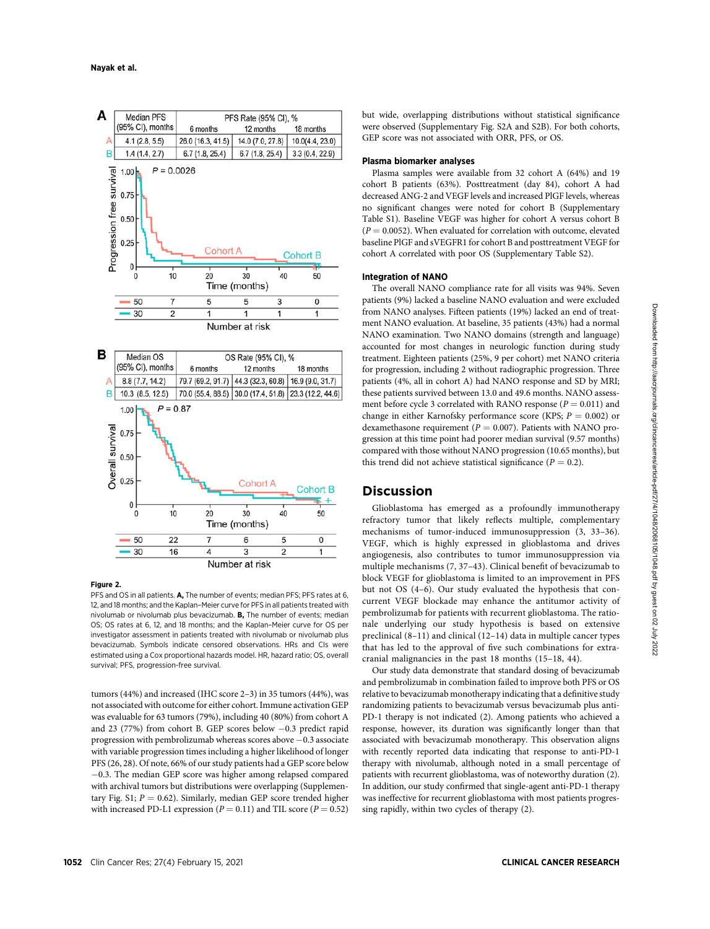

## Figure 2.

PFS and OS in all patients. A, The number of events; median PFS; PFS rates at 6, 12, and 18 months; and the Kaplan–Meier curve for PFS in all patients treated with nivolumab or nivolumab plus bevacizumab. B, The number of events; median OS; OS rates at 6, 12, and 18 months; and the Kaplan–Meier curve for OS per investigator assessment in patients treated with nivolumab or nivolumab plus bevacizumab. Symbols indicate censored observations. HRs and CIs were estimated using a Cox proportional hazards model. HR, hazard ratio; OS, overall survival; PFS, progression-free survival.

tumors (44%) and increased (IHC score 2–3) in 35 tumors (44%), was not associated with outcome for either cohort. Immune activation GEP was evaluable for 63 tumors (79%), including 40 (80%) from cohort A and 23 (77%) from cohort B. GEP scores below  $-0.3$  predict rapid progression with pembrolizumab whereas scores above  $-0.3$  associate with variable progression times including a higher likelihood of longer PFS (26, 28). Of note, 66% of our study patients had a GEP score below  $-0.3$ . The median GEP score was higher among relapsed compared with archival tumors but distributions were overlapping (Supplementary Fig. S1;  $P = 0.62$ ). Similarly, median GEP score trended higher with increased PD-L1 expression ( $P = 0.11$ ) and TIL score ( $P = 0.52$ )

but wide, overlapping distributions without statistical significance were observed (Supplementary Fig. S2A and S2B). For both cohorts, GEP score was not associated with ORR, PFS, or OS.

## Plasma biomarker analyses

Plasma samples were available from 32 cohort A (64%) and 19 cohort B patients (63%). Posttreatment (day 84), cohort A had decreased ANG-2 and VEGF levels and increased PlGF levels, whereas no significant changes were noted for cohort B (Supplementary Table S1). Baseline VEGF was higher for cohort A versus cohort B  $(P = 0.0052)$ . When evaluated for correlation with outcome, elevated baseline PlGF and sVEGFR1 for cohort B and posttreatment VEGF for cohort A correlated with poor OS (Supplementary Table S2).

## Integration of NANO

The overall NANO compliance rate for all visits was 94%. Seven patients (9%) lacked a baseline NANO evaluation and were excluded from NANO analyses. Fifteen patients (19%) lacked an end of treatment NANO evaluation. At baseline, 35 patients (43%) had a normal NANO examination. Two NANO domains (strength and language) accounted for most changes in neurologic function during study treatment. Eighteen patients (25%, 9 per cohort) met NANO criteria for progression, including 2 without radiographic progression. Three patients (4%, all in cohort A) had NANO response and SD by MRI; these patients survived between 13.0 and 49.6 months. NANO assessment before cycle 3 correlated with RANO response  $(P = 0.011)$  and change in either Karnofsky performance score (KPS;  $P = 0.002$ ) or dexamethasone requirement ( $P = 0.007$ ). Patients with NANO progression at this time point had poorer median survival (9.57 months) compared with those without NANO progression (10.65 months), but this trend did not achieve statistical significance ( $P = 0.2$ ).

# **Discussion**

Glioblastoma has emerged as a profoundly immunotherapy refractory tumor that likely reflects multiple, complementary mechanisms of tumor-induced immunosuppression (3, 33–36). VEGF, which is highly expressed in glioblastoma and drives angiogenesis, also contributes to tumor immunosuppression via multiple mechanisms (7, 37–43). Clinical benefit of bevacizumab to block VEGF for glioblastoma is limited to an improvement in PFS but not OS (4–6). Our study evaluated the hypothesis that concurrent VEGF blockade may enhance the antitumor activity of pembrolizumab for patients with recurrent glioblastoma. The rationale underlying our study hypothesis is based on extensive preclinical (8–11) and clinical (12–14) data in multiple cancer types that has led to the approval of five such combinations for extracranial malignancies in the past 18 months (15–18, 44).

Our study data demonstrate that standard dosing of bevacizumab and pembrolizumab in combination failed to improve both PFS or OS relative to bevacizumab monotherapy indicating that a definitive study randomizing patients to bevacizumab versus bevacizumab plus anti-PD-1 therapy is not indicated (2). Among patients who achieved a response, however, its duration was significantly longer than that associated with bevacizumab monotherapy. This observation aligns with recently reported data indicating that response to anti-PD-1 therapy with nivolumab, although noted in a small percentage of patients with recurrent glioblastoma, was of noteworthy duration (2). In addition, our study confirmed that single-agent anti-PD-1 therapy was ineffective for recurrent glioblastoma with most patients progressing rapidly, within two cycles of therapy (2).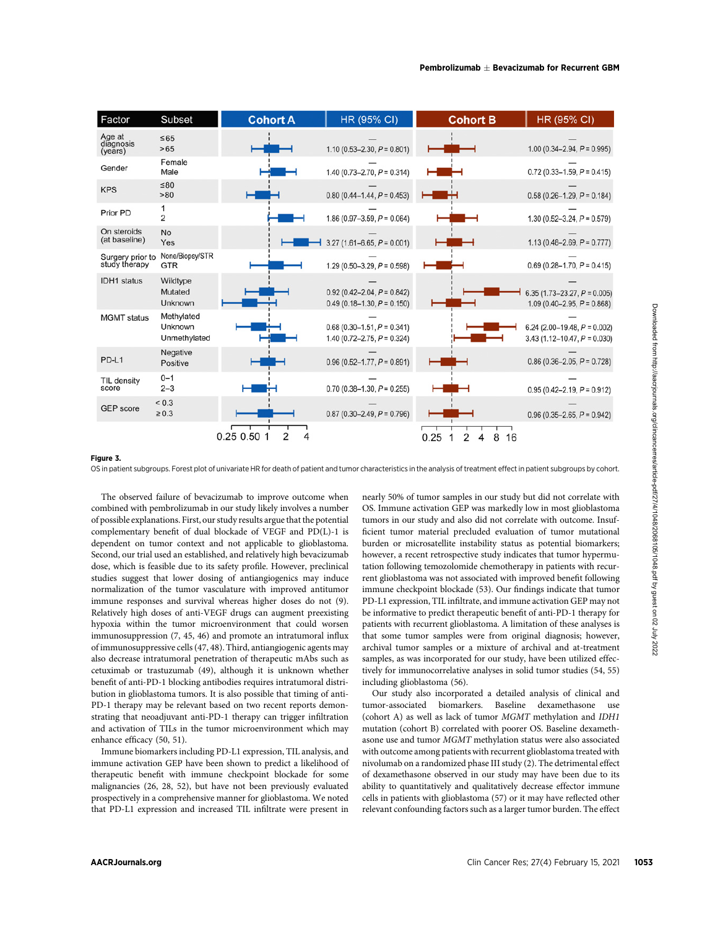| Factor                         | Subset                                                | <b>Cohort A</b>                                                                                                                                                                                                                                                                                                                                                                                                                                                                                                                                                                                                                                                                                                                                                                                                                                            | <b>HR (95% CI)</b>                                                 | <b>Cohort B</b>              | HR (95% CI)                                                                                                                                                                                                                                                                                                                                                                                                                                                                                                                                                                                                                                                                                                                                                                                            |
|--------------------------------|-------------------------------------------------------|------------------------------------------------------------------------------------------------------------------------------------------------------------------------------------------------------------------------------------------------------------------------------------------------------------------------------------------------------------------------------------------------------------------------------------------------------------------------------------------------------------------------------------------------------------------------------------------------------------------------------------------------------------------------------------------------------------------------------------------------------------------------------------------------------------------------------------------------------------|--------------------------------------------------------------------|------------------------------|--------------------------------------------------------------------------------------------------------------------------------------------------------------------------------------------------------------------------------------------------------------------------------------------------------------------------------------------------------------------------------------------------------------------------------------------------------------------------------------------------------------------------------------------------------------------------------------------------------------------------------------------------------------------------------------------------------------------------------------------------------------------------------------------------------|
| Age at<br>diagnosis<br>(years) | $\leq 65$<br>>65                                      |                                                                                                                                                                                                                                                                                                                                                                                                                                                                                                                                                                                                                                                                                                                                                                                                                                                            | 1.10 (0.53–2.30, $P = 0.801$ )                                     |                              | 1.00 (0.34–2.94, $P = 0.995$ )                                                                                                                                                                                                                                                                                                                                                                                                                                                                                                                                                                                                                                                                                                                                                                         |
| Gender                         | Female<br>Male                                        |                                                                                                                                                                                                                                                                                                                                                                                                                                                                                                                                                                                                                                                                                                                                                                                                                                                            | 1.40 (0.73-2.70, $P = 0.314$ )                                     |                              | $0.72$ (0.33-1.59, $P = 0.415$ )                                                                                                                                                                                                                                                                                                                                                                                                                                                                                                                                                                                                                                                                                                                                                                       |
| <b>KPS</b>                     | ≤80<br>> 80                                           |                                                                                                                                                                                                                                                                                                                                                                                                                                                                                                                                                                                                                                                                                                                                                                                                                                                            | $0.80$ (0.44-1.44, $P = 0.453$ )                                   |                              | $0.58$ (0.26-1.29, $P = 0.184$ )                                                                                                                                                                                                                                                                                                                                                                                                                                                                                                                                                                                                                                                                                                                                                                       |
| Prior PD                       | 1<br>2                                                |                                                                                                                                                                                                                                                                                                                                                                                                                                                                                                                                                                                                                                                                                                                                                                                                                                                            | 1.86 (0.97-3.59, $P = 0.064$ )                                     |                              | 1.30 (0.52-3.24, $P = 0.579$ )                                                                                                                                                                                                                                                                                                                                                                                                                                                                                                                                                                                                                                                                                                                                                                         |
| On steroids<br>(at baseline)   | No<br>Yes                                             |                                                                                                                                                                                                                                                                                                                                                                                                                                                                                                                                                                                                                                                                                                                                                                                                                                                            | $3.27$ (1.61–6.65, $P = 0.001$ )                                   |                              | 1.13 (0.48–2.69, $P = 0.777$ )                                                                                                                                                                                                                                                                                                                                                                                                                                                                                                                                                                                                                                                                                                                                                                         |
|                                | Surgery prior to None/Biopsy/STR<br>study therapy GTR |                                                                                                                                                                                                                                                                                                                                                                                                                                                                                                                                                                                                                                                                                                                                                                                                                                                            | 1.29 (0.50-3.29, $P = 0.598$ )                                     |                              | $0.69$ (0.28-1.70, $P = 0.415$ )                                                                                                                                                                                                                                                                                                                                                                                                                                                                                                                                                                                                                                                                                                                                                                       |
| <b>IDH1</b> status             | Wildtype<br>Mutated<br>Unknown                        |                                                                                                                                                                                                                                                                                                                                                                                                                                                                                                                                                                                                                                                                                                                                                                                                                                                            | $0.92(0.42 - 2.04, P = 0.842)$<br>$0.49$ (0.18–1.30, $P = 0.150$ ) |                              | 6.35 (1.73–23.27, $P = 0.005$ )<br>$1.09(0.40 - 2.95, P = 0.868)$                                                                                                                                                                                                                                                                                                                                                                                                                                                                                                                                                                                                                                                                                                                                      |
| <b>MGMT</b> status             | Methylated<br>Unknown<br>Unmethylated                 |                                                                                                                                                                                                                                                                                                                                                                                                                                                                                                                                                                                                                                                                                                                                                                                                                                                            | $0.68$ (0.30-1.51, $P = 0.341$ )<br>1.40 (0.72-2.75, $P = 0.324$ ) |                              | 6.24 (2.00–19.48, $P = 0.002$ )<br>$3.43$ (1.12-10.47, $P = 0.030$ )                                                                                                                                                                                                                                                                                                                                                                                                                                                                                                                                                                                                                                                                                                                                   |
| PD-L1                          | Negative<br>Positive                                  |                                                                                                                                                                                                                                                                                                                                                                                                                                                                                                                                                                                                                                                                                                                                                                                                                                                            | $0.96(0.52 - 1.77, P = 0.891)$                                     |                              | $0.86$ (0.36-2.05, $P = 0.728$ )                                                                                                                                                                                                                                                                                                                                                                                                                                                                                                                                                                                                                                                                                                                                                                       |
| TIL density<br>score           | $0 - 1$<br>$2 - 3$                                    |                                                                                                                                                                                                                                                                                                                                                                                                                                                                                                                                                                                                                                                                                                                                                                                                                                                            | $0.70$ (0.38-1.30, $P = 0.255$ )                                   |                              | $0.95(0.42 - 2.19, P = 0.912)$                                                                                                                                                                                                                                                                                                                                                                                                                                                                                                                                                                                                                                                                                                                                                                         |
| <b>GEP</b> score               | ${}_{0.3}$<br>$\geq 0.3$                              |                                                                                                                                                                                                                                                                                                                                                                                                                                                                                                                                                                                                                                                                                                                                                                                                                                                            | $0.87$ (0.30–2.49, $P = 0.796$ )                                   |                              | $0.96$ (0.35-2.65, $P = 0.942$ )                                                                                                                                                                                                                                                                                                                                                                                                                                                                                                                                                                                                                                                                                                                                                                       |
|                                |                                                       | dose, which is feasible due to its safety profile. However, preclinical<br>studies suggest that lower dosing of antiangiogenics may induce<br>normalization of the tumor vasculature with improved antitumor<br>immune responses and survival whereas higher doses do not (9).<br>Relatively high doses of anti-VEGF drugs can augment preexisting<br>hypoxia within the tumor microenvironment that could worsen<br>immunosuppression (7, 45, 46) and promote an intratumoral influx<br>of immunosuppressive cells (47, 48). Third, antiangiogenic agents may<br>also decrease intratumoral penetration of therapeutic mAbs such as<br>cetuximab or trastuzumab (49), although it is unknown whether<br>benefit of anti-PD-1 blocking antibodies requires intratumoral distri-<br>bution in glioblastoma tumors. It is also possible that timing of anti- |                                                                    | including glioblastoma (56). | tation following temozolomide chemotherapy in patients with recur-<br>rent glioblastoma was not associated with improved benefit following<br>immune checkpoint blockade (53). Our findings indicate that tumor<br>PD-L1 expression, TIL infiltrate, and immune activation GEP may not<br>be informative to predict therapeutic benefit of anti-PD-1 therapy for<br>patients with recurrent glioblastoma. A limitation of these analyses is<br>that some tumor samples were from original diagnosis; however,<br>archival tumor samples or a mixture of archival and at-treatment<br>samples, as was incorporated for our study, have been utilized effec-<br>tively for immunocorrelative analyses in solid tumor studies (54, 55)<br>Our study also incorporated a detailed analysis of clinical and |
| enhance efficacy (50, 51).     |                                                       | PD-1 therapy may be relevant based on two recent reports demon-<br>strating that neoadjuvant anti-PD-1 therapy can trigger infiltration<br>and activation of TILs in the tumor microenvironment which may<br>Immune biomarkers including PD-L1 expression, TIL analysis, and<br>immune activation GEP have been shown to predict a likelihood of<br>therapeutic benefit with immune checkpoint blockade for some<br>malignancies (26, 28, 52), but have not been previously evaluated<br>prospectively in a comprehensive manner for glioblastoma. We noted<br>that PD-L1 expression and increased TIL infiltrate were present in                                                                                                                                                                                                                          |                                                                    |                              | tumor-associated biomarkers. Baseline dexamethasone use<br>(cohort A) as well as lack of tumor MGMT methylation and IDH1<br>mutation (cohort B) correlated with poorer OS. Baseline dexameth-<br>as<br>one use and tumor $MGMT$ methylation status were also associated<br>with outcome among patients with recurrent glioblastoma treated with<br>nivolumab on a randomized phase III study (2). The detrimental effect<br>of dexamethasone observed in our study may have been due to its<br>ability to quantitatively and qualitatively decrease effector immune<br>cells in patients with glioblastoma (57) or it may have reflected other<br>relevant confounding factors such as a larger tumor burden. The effect                                                                               |
| <b>AACRJournals.org</b>        |                                                       |                                                                                                                                                                                                                                                                                                                                                                                                                                                                                                                                                                                                                                                                                                                                                                                                                                                            |                                                                    |                              | Clin Cancer Res; 27(4) February 15, 2021                                                                                                                                                                                                                                                                                                                                                                                                                                                                                                                                                                                                                                                                                                                                                               |

#### Figure 3.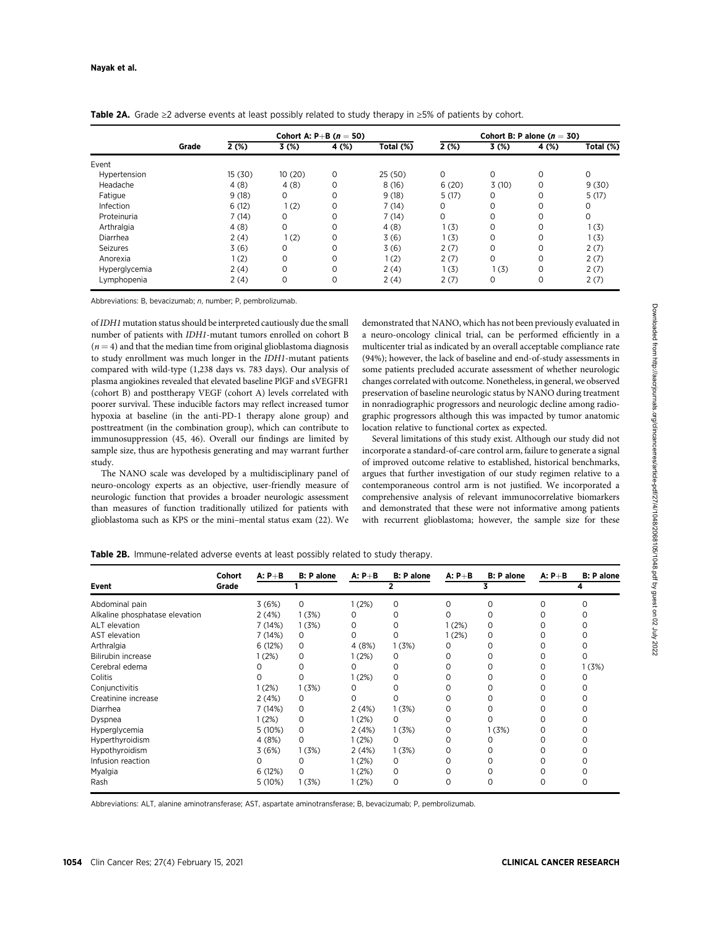|               | Grade |        |          | Cohort A: P+B $(n = 50)$ |           |       |          | Cohort B: P alone $(n = 30)$ |           |
|---------------|-------|--------|----------|--------------------------|-----------|-------|----------|------------------------------|-----------|
|               |       | 2(%)   | 3(%)     | 4 (%)                    | Total (%) | 2(%)  | 3(%)     | 4 (%)                        | Total (%) |
| Event         |       |        |          |                          |           |       |          |                              |           |
| Hypertension  |       | 15(30) | 10(20)   | 0                        | 25(50)    | 0     | 0        | 0                            |           |
| Headache      |       | 4(8)   | 4(8)     | 0                        | 8(16)     | 6(20) | 3(10)    | 0                            | 9(30)     |
| Fatigue       |       | 9(18)  | $\Omega$ | 0                        | 9(18)     | 5(17) | $\Omega$ | $\Omega$                     | 5(17)     |
| Infection     |       | 6(12)  | 1(2)     | 0                        | 7(14)     | 0     |          | 0                            |           |
| Proteinuria   |       | 7(14)  | 0        | 0                        | 7(14)     | 0     | 0        | 0                            | 0         |
| Arthralgia    |       | 4(8)   | $\Omega$ | 0                        | 4(8)      | 1(3)  |          | $\Omega$                     | 1(3)      |
| Diarrhea      |       | 2(4)   | 1(2)     | 0                        | 3(6)      | 1(3)  |          | 0                            | 1(3)      |
| Seizures      |       | 3(6)   | 0        | 0                        | 3(6)      | 2(7)  | 0        | 0                            | 2(7)      |
| Anorexia      |       | 1(2)   | 0        | 0                        | 1(2)      | 2(7)  | 0        | $\Omega$                     | 2(7)      |
| Hyperglycemia |       | 2(4)   | 0        | 0                        | 2(4)      | 1(3)  | 1(3)     | 0                            | 2(7)      |
| Lymphopenia   |       | 2(4)   | 0        | 0                        | 2(4)      | 2(7)  | $\Omega$ | 0                            | 2(7)      |

Table 2A. Grade ≥2 adverse events at least possibly related to study therapy in ≥5% of patients by cohort.

Abbreviations: B. bevacizumab: n. number: P. pembrolizumab.

of IDH1 mutation status should be interpreted cautiously due the small number of patients with IDH1-mutant tumors enrolled on cohort B  $(n = 4)$  and that the median time from original glioblastoma diagnosis to study enrollment was much longer in the IDH1-mutant patients compared with wild-type (1,238 days vs. 783 days). Our analysis of plasma angiokines revealed that elevated baseline PlGF and sVEGFR1 (cohort B) and posttherapy VEGF (cohort A) levels correlated with poorer survival. These inducible factors may reflect increased tumor hypoxia at baseline (in the anti-PD-1 therapy alone group) and posttreatment (in the combination group), which can contribute to immunosuppression (45, 46). Overall our findings are limited by sample size, thus are hypothesis generating and may warrant further study.

The NANO scale was developed by a multidisciplinary panel of neuro-oncology experts as an objective, user-friendly measure of neurologic function that provides a broader neurologic assessment than measures of function traditionally utilized for patients with glioblastoma such as KPS or the mini–mental status exam (22). We demonstrated that NANO, which has not been previously evaluated in a neuro-oncology clinical trial, can be performed efficiently in a multicenter trial as indicated by an overall acceptable compliance rate (94%); however, the lack of baseline and end-of-study assessments in some patients precluded accurate assessment of whether neurologic changes correlated with outcome. Nonetheless, in general, we observed preservation of baseline neurologic status by NANO during treatment in nonradiographic progressors and neurologic decline among radiographic progressors although this was impacted by tumor anatomic location relative to functional cortex as expected.

Several limitations of this study exist. Although our study did not incorporate a standard-of-care control arm, failure to generate a signal of improved outcome relative to established, historical benchmarks, argues that further investigation of our study regimen relative to a contemporaneous control arm is not justified. We incorporated a comprehensive analysis of relevant immunocorrelative biomarkers and demonstrated that these were not informative among patients with recurrent glioblastoma; however, the sample size for these

| Event                          | Cohort<br>Grade | $A: P + B$ | <b>B: P</b> alone | $A: P + B$ | <b>B: P alone</b> | $A: P + B$ | <b>B: P</b> alone | $A: P + B$ | <b>B</b> : P alone |
|--------------------------------|-----------------|------------|-------------------|------------|-------------------|------------|-------------------|------------|--------------------|
|                                |                 |            |                   |            |                   |            |                   |            |                    |
| Abdominal pain                 |                 | 3(6%)      | $\Omega$          | 1(2%)      | 0                 | $\Omega$   | 0                 | Ω          |                    |
| Alkaline phosphatase elevation |                 | 2(4%)      | 1(3%)             |            |                   |            |                   |            |                    |
| ALT elevation                  |                 | 7(14%)     | 1(3%)             | Ω          |                   | 1(2%)      | 0                 |            |                    |
| AST elevation                  |                 | 7(14%)     | 0                 |            | O                 | 1(2%)      | 0                 |            |                    |
| Arthralgia                     |                 | 6(12%)     | 0                 | 4(8%)      | 1(3%)             | 0          | 0                 |            |                    |
| Bilirubin increase             |                 | (2%)       | 0                 | 1(2%)      | 0                 | 0          |                   |            |                    |
| Cerebral edema                 |                 |            |                   |            |                   |            |                   |            | 1(3%)              |
| Colitis                        |                 |            |                   | 1(2%)      | 0                 |            |                   |            |                    |
| Conjunctivitis                 |                 | (2%)       | 1(3%)             |            |                   |            |                   |            |                    |
| Creatinine increase            |                 | 2(4%)      | 0                 |            |                   |            |                   |            |                    |
| Diarrhea                       |                 | 7(14%)     | 0                 | 2(4%)      | 1(3%)             | 0          |                   |            |                    |
| Dyspnea                        |                 | 1(2%)      | 0                 | 1(2%)      | 0                 | $\Omega$   |                   |            |                    |
| Hyperglycemia                  |                 | 5 (10%)    | 0                 | 2(4%)      | 1(3%)             |            | 1(3%)             |            |                    |
| Hyperthyroidism                |                 | 4 (8%)     | 0                 | 1(2%)      | 0                 | 0          | 0                 | 0          |                    |

Hypothyroidism 3 (6%) 1 (3%) 2 (4%) 1 (3%) 0 0 0 0 0 Infusion reaction 0 0 1 (2%) 0 0 0 0 0 Myalgia 6 (12%) 0 1 (2%) 0 0 0 0 0 Rash 5 (10%) 1 (3%) 1 (2%) 0 0 0 0 0

Table 2B. Immune-related adverse events at least possibly related to study therapy.

Abbreviations: ALT, alanine aminotransferase; AST, aspartate aminotransferase; B, bevacizumab; P, pembrolizumab.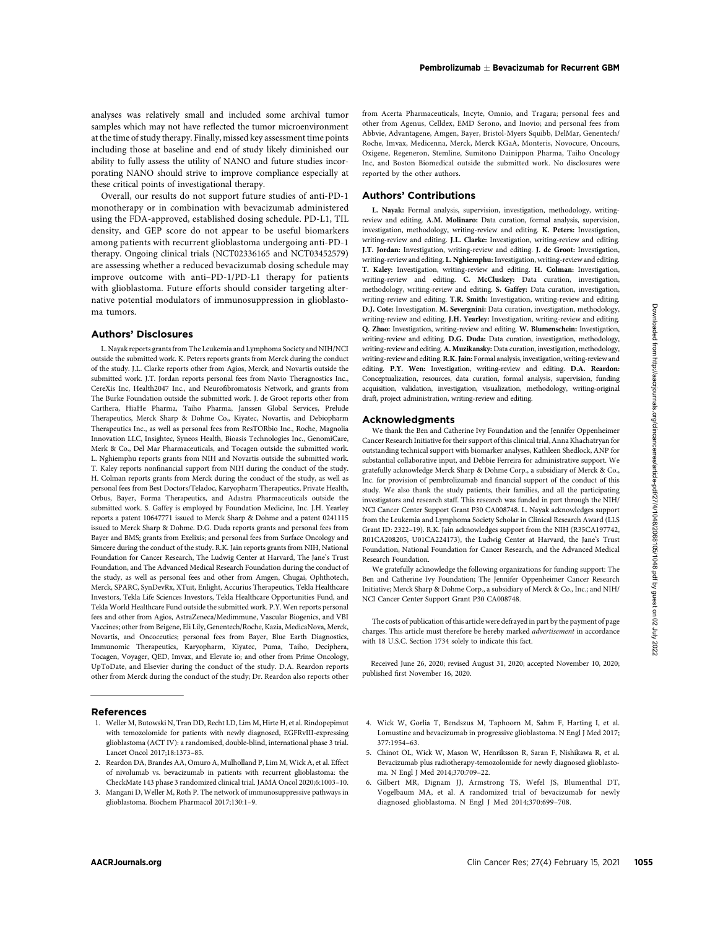analyses was relatively small and included some archival tumor samples which may not have reflected the tumor microenvironment at the time of study therapy. Finally, missed key assessment time points including those at baseline and end of study likely diminished our ability to fully assess the utility of NANO and future studies incorporating NANO should strive to improve compliance especially at these critical points of investigational therapy.

Overall, our results do not support future studies of anti-PD-1 monotherapy or in combination with bevacizumab administered using the FDA-approved, established dosing schedule. PD-L1, TIL density, and GEP score do not appear to be useful biomarkers among patients with recurrent glioblastoma undergoing anti-PD-1 therapy. Ongoing clinical trials (NCT02336165 and NCT03452579) are assessing whether a reduced bevacizumab dosing schedule may improve outcome with anti–PD-1/PD-L1 therapy for patients with glioblastoma. Future efforts should consider targeting alternative potential modulators of immunosuppression in glioblastoma tumors.

## Authors' Disclosures

L. Nayak reports grants from The Leukemia and Lymphoma Society and NIH/NCI outside the submitted work. K. Peters reports grants from Merck during the conduct of the study. J.L. Clarke reports other from Agios, Merck, and Novartis outside the submitted work. J.T. Jordan reports personal fees from Navio Theragnostics Inc., CereXis Inc, Health2047 Inc., and Neurofibromatosis Network, and grants from The Burke Foundation outside the submitted work. J. de Groot reports other from Carthera, HiaHe Pharma, Taiho Pharma, Janssen Global Services, Prelude Therapeutics, Merck Sharp & Dohme Co., Kiyatec, Novartis, and Debiopharm Therapeutics Inc., as well as personal fees from ResTORbio Inc., Roche, Magnolia Innovation LLC, Insightec, Syneos Health, Bioasis Technologies Inc., GenomiCare, Merk & Co., Del Mar Pharmaceuticals, and Tocagen outside the submitted work. L. Nghiemphu reports grants from NIH and Novartis outside the submitted work. T. Kaley reports nonfinancial support from NIH during the conduct of the study. H. Colman reports grants from Merck during the conduct of the study, as well as personal fees from Best Doctors/Teladoc, Karyopharm Therapeutics, Private Health, Orbus, Bayer, Forma Therapeutics, and Adastra Pharmaceuticals outside the submitted work. S. Gaffey is employed by Foundation Medicine, Inc. J.H. Yearley reports a patent 10647771 issued to Merck Sharp & Dohme and a patent 0241115 issued to Merck Sharp & Dohme. D.G. Duda reports grants and personal fees from Bayer and BMS; grants from Exelixis; and personal fees from Surface Oncology and Simcere during the conduct of the study. R.K. Jain reports grants from NIH, National Foundation for Cancer Research, The Ludwig Center at Harvard, The Jane's Trust Foundation, and The Advanced Medical Research Foundation during the conduct of the study, as well as personal fees and other from Amgen, Chugai, Ophthotech, Merck, SPARC, SynDevRx, XTuit, Enlight, Accurius Therapeutics, Tekla Healthcare Investors, Tekla Life Sciences Investors, Tekla Healthcare Opportunities Fund, and Tekla World Healthcare Fund outside the submitted work. P.Y. Wen reports personal fees and other from Agios, AstraZeneca/Medimmune, Vascular Biogenics, and VBI Vaccines; other from Beigene, Eli Lily, Genentech/Roche, Kazia, MedicaNova, Merck, Novartis, and Oncoceutics; personal fees from Bayer, Blue Earth Diagnostics, Immunomic Therapeutics, Karyopharm, Kiyatec, Puma, Taiho, Deciphera, Tocagen, Voyager, QED, Imvax, and Elevate io; and other from Prime Oncology, UpToDate, and Elsevier during the conduct of the study. D.A. Reardon reports other from Merck during the conduct of the study; Dr. Reardon also reports other ANCRO CLIN EXCEPTER THE CANCER CONTRIBUTE CONTRIBUTE CONTRIBUTE CONTRIBUTE CONTRIBUTE CONTRIBUTE CONTRIBUTE CONTRIBUTE CONTRIBUTE CONTRIBUTE CONTRIBUTE CONTRIBUTE CONTRIBUTE CONTRIBUTE CONTRIBUTE CONTRIBUTE CONTRIBUTE CON

## References

- 1. Weller M, Butowski N, Tran DD, Recht LD, Lim M, Hirte H, et al. Rindopepimut with temozolomide for patients with newly diagnosed, EGFRvIII-expressing glioblastoma (ACT IV): a randomised, double-blind, international phase 3 trial. Lancet Oncol 2017;18:1373–85.
- 2. Reardon DA, Brandes AA, Omuro A, Mulholland P, Lim M, Wick A, et al. Effect of nivolumab vs. bevacizumab in patients with recurrent glioblastoma: the CheckMate 143 phase 3 randomized clinical trial. JAMA Oncol 2020;6:1003–10.
- 3. Mangani D, Weller M, Roth P. The network of immunosuppressive pathways in glioblastoma. Biochem Pharmacol 2017;130:1–9.

from Acerta Pharmaceuticals, Incyte, Omnio, and Tragara; personal fees and other from Agenus, Celldex, EMD Serono, and Inovio; and personal fees from Abbvie, Advantagene, Amgen, Bayer, Bristol-Myers Squibb, DelMar, Genentech/ Roche, Imvax, Medicenna, Merck, Merck KGaA, Monteris, Novocure, Oncours, Oxigene, Regeneron, Stemline, Sumitono Dainippon Pharma, Taiho Oncology Inc, and Boston Biomedical outside the submitted work. No disclosures were reported by the other authors.

## Authors' Contributions

L. Nayak: Formal analysis, supervision, investigation, methodology, writingreview and editing. A.M. Molinaro: Data curation, formal analysis, supervision, investigation, methodology, writing-review and editing. K. Peters: Investigation, writing-review and editing. J.L. Clarke: Investigation, writing-review and editing. J.T. Jordan: Investigation, writing-review and editing. J. de Groot: Investigation, writing-review and editing. L. Nghiemphu: Investigation, writing-review and editing. T. Kaley: Investigation, writing-review and editing. H. Colman: Investigation, writing-review and editing. C. McCluskey: Data curation, investigation, methodology, writing-review and editing. S. Gaffey: Data curation, investigation, writing-review and editing. T.R. Smith: Investigation, writing-review and editing. D.J. Cote: Investigation. M. Severgnini: Data curation, investigation, methodology, writing-review and editing. J.H. Yearley: Investigation, writing-review and editing. Q. Zhao: Investigation, writing-review and editing. W. Blumenschein: Investigation, writing-review and editing. D.G. Duda: Data curation, investigation, methodology, writing-review and editing. A. Muzikansky: Data curation, investigation, methodology, writing-review and editing.R.K. Jain: Formal analysis, investigation, writing-review and editing. P.Y. Wen: Investigation, writing-review and editing. D.A. Reardon: Conceptualization, resources, data curation, formal analysis, supervision, funding acquisition, validation, investigation, visualization, methodology, writing-original draft, project administration, writing-review and editing.

#### Acknowledgments

We thank the Ben and Catherine Ivy Foundation and the Jennifer Oppenheimer Cancer Research Initiative for their support of this clinical trial, Anna Khachatryan for outstanding technical support with biomarker analyses, Kathleen Shedlock, ANP for substantial collaborative input, and Debbie Ferreira for administrative support. We gratefully acknowledge Merck Sharp & Dohme Corp., a subsidiary of Merck & Co., Inc. for provision of pembrolizumab and financial support of the conduct of this study. We also thank the study patients, their families, and all the participating investigators and research staff. This research was funded in part through the NIH/ NCI Cancer Center Support Grant P30 CA008748. L. Nayak acknowledges support from the Leukemia and Lymphoma Society Scholar in Clinical Research Award (LLS Grant ID: 2322–19). R.K. Jain acknowledges support from the NIH (R35CA197742, R01CA208205, U01CA224173), the Ludwig Center at Harvard, the Jane's Trust Foundation, National Foundation for Cancer Research, and the Advanced Medical Research Foundation.

We gratefully acknowledge the following organizations for funding support: The Ben and Catherine Ivy Foundation; The Jennifer Oppenheimer Cancer Research Initiative; Merck Sharp & Dohme Corp., a subsidiary of Merck & Co., Inc.; and NIH/ NCI Cancer Center Support Grant P30 CA008748.

The costs of publication of this article were defrayed in part by the payment of page charges. This article must therefore be hereby marked advertisement in accordance with 18 U.S.C. Section 1734 solely to indicate this fact.

Received June 26, 2020; revised August 31, 2020; accepted November 10, 2020; published first November 16, 2020.

- 4. Wick W, Gorlia T, Bendszus M, Taphoorn M, Sahm F, Harting I, et al. Lomustine and bevacizumab in progressive glioblastoma. N Engl J Med 2017; 377:1954–63.
- 5. Chinot OL, Wick W, Mason W, Henriksson R, Saran F, Nishikawa R, et al. Bevacizumab plus radiotherapy-temozolomide for newly diagnosed glioblastoma. N Engl J Med 2014;370:709–22.
- 6. Gilbert MR, Dignam JJ, Armstrong TS, Wefel JS, Blumenthal DT, Vogelbaum MA, et al. A randomized trial of bevacizumab for newly diagnosed glioblastoma. N Engl J Med 2014;370:699–708.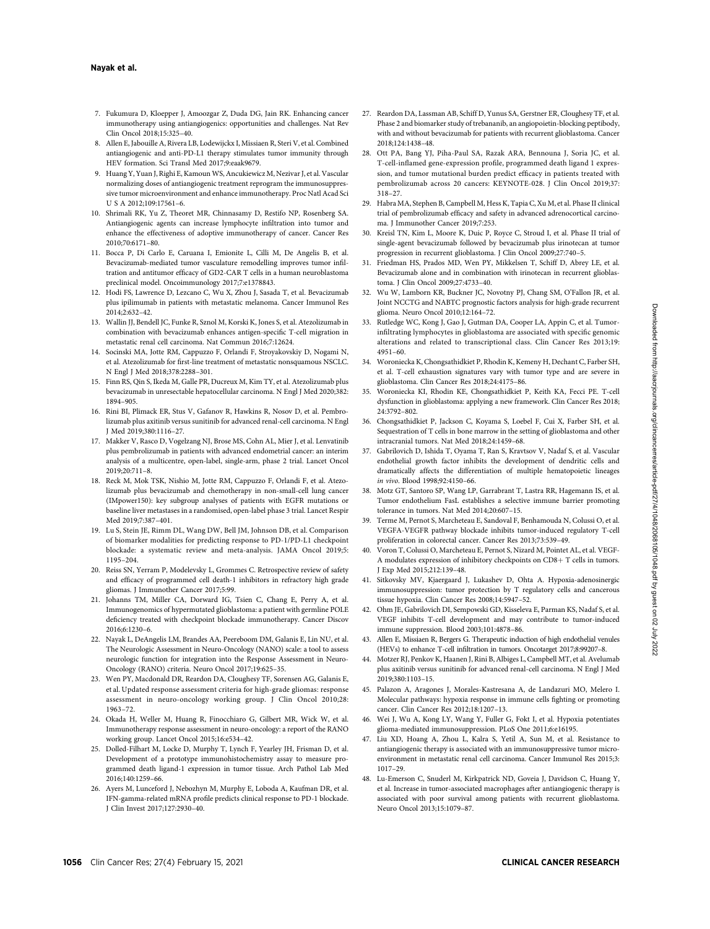#### Nayak et al.

- 7. Fukumura D, Kloepper J, Amoozgar Z, Duda DG, Jain RK. Enhancing cancer immunotherapy using antiangiogenics: opportunities and challenges. Nat Rev Clin Oncol 2018;15:325–40.
- 8. Allen E, Jabouille A, Rivera LB, Lodewijckx I, Missiaen R, Steri V, et al. Combined antiangiogenic and anti-PD-L1 therapy stimulates tumor immunity through HEV formation. Sci Transl Med 2017;9:eaak9679.
- 9. Huang Y, Yuan J, Righi E, Kamoun WS, Ancukiewicz M, Nezivar J, et al. Vascular normalizing doses of antiangiogenic treatment reprogram the immunosuppressive tumor microenvironment and enhance immunotherapy. Proc Natl Acad Sci U S A 2012;109:17561–6.
- 10. Shrimali RK, Yu Z, Theoret MR, Chinnasamy D, Restifo NP, Rosenberg SA. Antiangiogenic agents can increase lymphocyte infiltration into tumor and enhance the effectiveness of adoptive immunotherapy of cancer. Cancer Res 2010;70:6171–80.
- 11. Bocca P, Di Carlo E, Caruana I, Emionite L, Cilli M, De Angelis B, et al. Bevacizumab-mediated tumor vasculature remodelling improves tumor infiltration and antitumor efficacy of GD2-CAR T cells in a human neuroblastoma preclinical model. Oncoimmunology 2017;7:e1378843.
- 12. Hodi FS, Lawrence D, Lezcano C, Wu X, Zhou J, Sasada T, et al. Bevacizumab plus ipilimumab in patients with metastatic melanoma. Cancer Immunol Res 2014;2:632–42.
- 13. Wallin JJ, Bendell JC, Funke R, Sznol M, Korski K, Jones S, et al. Atezolizumab in combination with bevacizumab enhances antigen-specific T-cell migration in metastatic renal cell carcinoma. Nat Commun 2016;7:12624.
- 14. Socinski MA, Jotte RM, Cappuzzo F, Orlandi F, Stroyakovskiy D, Nogami N, et al. Atezolizumab for first-line treatment of metastatic nonsquamous NSCLC. N Engl J Med 2018;378:2288–301.
- 15. Finn RS, Qin S, Ikeda M, Galle PR, Ducreux M, Kim TY, et al. Atezolizumab plus bevacizumab in unresectable hepatocellular carcinoma. N Engl J Med 2020;382: 1894–905.
- 16. Rini BI, Plimack ER, Stus V, Gafanov R, Hawkins R, Nosov D, et al. Pembrolizumab plus axitinib versus sunitinib for advanced renal-cell carcinoma. N Engl J Med 2019;380:1116–27.
- 17. Makker V, Rasco D, Vogelzang NJ, Brose MS, Cohn AL, Mier J, et al. Lenvatinib plus pembrolizumab in patients with advanced endometrial cancer: an interim analysis of a multicentre, open-label, single-arm, phase 2 trial. Lancet Oncol 2019;20:711–8.
- 18. Reck M, Mok TSK, Nishio M, Jotte RM, Cappuzzo F, Orlandi F, et al. Atezolizumab plus bevacizumab and chemotherapy in non-small-cell lung cancer (IMpower150): key subgroup analyses of patients with EGFR mutations or baseline liver metastases in a randomised, open-label phase 3 trial. Lancet Respir Med 2019;7:387–401.
- 19. Lu S, Stein JE, Rimm DL, Wang DW, Bell JM, Johnson DB, et al. Comparison of biomarker modalities for predicting response to PD-1/PD-L1 checkpoint blockade: a systematic review and meta-analysis. JAMA Oncol 2019;5: 1195–204.
- 20. Reiss SN, Yerram P, Modelevsky L, Grommes C. Retrospective review of safety and efficacy of programmed cell death-1 inhibitors in refractory high grade gliomas. J Immunother Cancer 2017;5:99.
- 21. Johanns TM, Miller CA, Dorward IG, Tsien C, Chang E, Perry A, et al. Immunogenomics of hypermutated glioblastoma: a patient with germline POLE deficiency treated with checkpoint blockade immunotherapy. Cancer Discov 2016;6:1230–6.
- 22. Nayak L, DeAngelis LM, Brandes AA, Peereboom DM, Galanis E, Lin NU, et al. The Neurologic Assessment in Neuro-Oncology (NANO) scale: a tool to assess neurologic function for integration into the Response Assessment in Neuro-Oncology (RANO) criteria. Neuro Oncol 2017;19:625–35.
- 23. Wen PY, Macdonald DR, Reardon DA, Cloughesy TF, Sorensen AG, Galanis E, et al. Updated response assessment criteria for high-grade gliomas: response assessment in neuro-oncology working group. J Clin Oncol 2010;28: 1963–72.
- 24. Okada H, Weller M, Huang R, Finocchiaro G, Gilbert MR, Wick W, et al. Immunotherapy response assessment in neuro-oncology: a report of the RANO working group. Lancet Oncol 2015;16:e534–42.
- 25. Dolled-Filhart M, Locke D, Murphy T, Lynch F, Yearley JH, Frisman D, et al. Development of a prototype immunohistochemistry assay to measure programmed death ligand-1 expression in tumor tissue. Arch Pathol Lab Med 2016;140:1259–66.
- 26. Ayers M, Lunceford J, Nebozhyn M, Murphy E, Loboda A, Kaufman DR, et al. IFN-gamma-related mRNA profile predicts clinical response to PD-1 blockade. J Clin Invest 2017;127:2930–40.
- 27. Reardon DA, Lassman AB, Schiff D, Yunus SA, Gerstner ER, Cloughesy TF, et al. Phase 2 and biomarker study of trebananib, an angiopoietin-blocking peptibody, with and without bevacizumab for patients with recurrent glioblastoma. Cancer 2018;124:1438–48.
- 28. Ott PA, Bang YJ, Piha-Paul SA, Razak ARA, Bennouna J, Soria JC, et al. T-cell-inflamed gene-expression profile, programmed death ligand 1 expression, and tumor mutational burden predict efficacy in patients treated with pembrolizumab across 20 cancers: KEYNOTE-028. J Clin Oncol 2019;37: 318–27.
- 29. Habra MA, Stephen B, Campbell M, Hess K, Tapia C, Xu M, et al. Phase II clinical trial of pembrolizumab efficacy and safety in advanced adrenocortical carcinoma. J Immunother Cancer 2019;7:253.
- 30. Kreisl TN, Kim L, Moore K, Duic P, Royce C, Stroud I, et al. Phase II trial of single-agent bevacizumab followed by bevacizumab plus irinotecan at tumor progression in recurrent glioblastoma. J Clin Oncol 2009;27:740–5.
- 31. Friedman HS, Prados MD, Wen PY, Mikkelsen T, Schiff D, Abrey LE, et al. Bevacizumab alone and in combination with irinotecan in recurrent glioblastoma. J Clin Oncol 2009;27:4733–40.
- 32. Wu W, Lamborn KR, Buckner JC, Novotny PJ, Chang SM, O'Fallon JR, et al. Joint NCCTG and NABTC prognostic factors analysis for high-grade recurrent glioma. Neuro Oncol 2010;12:164–72.
- 33. Rutledge WC, Kong J, Gao J, Gutman DA, Cooper LA, Appin C, et al. Tumorinfiltrating lymphocytes in glioblastoma are associated with specific genomic alterations and related to transcriptional class. Clin Cancer Res 2013;19: 4951–60.
- 34. Woroniecka K, Chongsathidkiet P, Rhodin K, Kemeny H, Dechant C, Farber SH, et al. T-cell exhaustion signatures vary with tumor type and are severe in glioblastoma. Clin Cancer Res 2018;24:4175–86.
- 35. Woroniecka KI, Rhodin KE, Chongsathidkiet P, Keith KA, Fecci PE. T-cell dysfunction in glioblastoma: applying a new framework. Clin Cancer Res 2018; 24:3792–802.
- 36. Chongsathidkiet P, Jackson C, Koyama S, Loebel F, Cui X, Farber SH, et al. Sequestration of T cells in bone marrow in the setting of glioblastoma and other intracranial tumors. Nat Med 2018;24:1459–68.
- 37. Gabrilovich D, Ishida T, Oyama T, Ran S, Kravtsov V, Nadaf S, et al. Vascular endothelial growth factor inhibits the development of dendritic cells and dramatically affects the differentiation of multiple hematopoietic lineages in vivo. Blood 1998;92:4150–66.
- 38. Motz GT, Santoro SP, Wang LP, Garrabrant T, Lastra RR, Hagemann IS, et al. Tumor endothelium FasL establishes a selective immune barrier promoting tolerance in tumors. Nat Med 2014;20:607–15.
- 39. Terme M, Pernot S, Marcheteau E, Sandoval F, Benhamouda N, Colussi O, et al. VEGFA-VEGFR pathway blockade inhibits tumor-induced regulatory T-cell proliferation in colorectal cancer. Cancer Res 2013;73:539–49.
- 40. Voron T, Colussi O, Marcheteau E, Pernot S, Nizard M, Pointet AL, et al. VEGF-A modulates expression of inhibitory checkpoints on  $CD8+T$  cells in tumors. J Exp Med 2015;212:139–48.
- 41. Sitkovsky MV, Kjaergaard J, Lukashev D, Ohta A. Hypoxia-adenosinergic immunosuppression: tumor protection by T regulatory cells and cancerous tissue hypoxia. Clin Cancer Res 2008;14:5947–52.
- 42. Ohm JE, Gabrilovich DI, Sempowski GD, Kisseleva E, Parman KS, Nadaf S, et al. VEGF inhibits T-cell development and may contribute to tumor-induced immune suppression. Blood 2003;101:4878–86.
- 43. Allen E, Missiaen R, Bergers G. Therapeutic induction of high endothelial venules (HEVs) to enhance T-cell infiltration in tumors. Oncotarget 2017;8:99207–8.
- 44. Motzer RJ, Penkov K, Haanen J, Rini B, Albiges L, Campbell MT, et al. Avelumab plus axitinib versus sunitinib for advanced renal-cell carcinoma. N Engl J Med 2019;380:1103–15.
- 45. Palazon A, Aragones J, Morales-Kastresana A, de Landazuri MO, Melero I. Molecular pathways: hypoxia response in immune cells fighting or promoting cancer. Clin Cancer Res 2012;18:1207–13.
- 46. Wei J, Wu A, Kong LY, Wang Y, Fuller G, Fokt I, et al. Hypoxia potentiates glioma-mediated immunosuppression. PLoS One 2011;6:e16195.
- 47. Liu XD, Hoang A, Zhou L, Kalra S, Yetil A, Sun M, et al. Resistance to antiangiogenic therapy is associated with an immunosuppressive tumor microenvironment in metastatic renal cell carcinoma. Cancer Immunol Res 2015;3: 1017–29.
- 48. Lu-Emerson C, Snuderl M, Kirkpatrick ND, Goveia J, Davidson C, Huang Y, et al. Increase in tumor-associated macrophages after antiangiogenic therapy is associated with poor survival among patients with recurrent glioblastoma. Neuro Oncol 2013;15:1079–87.